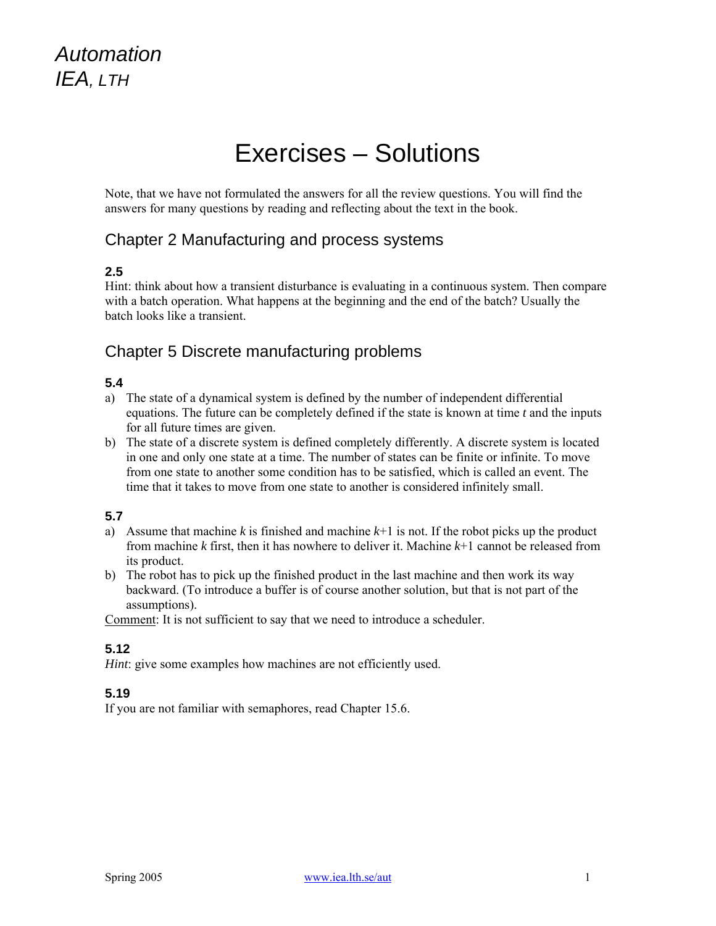# Exercises – Solutions

Note, that we have not formulated the answers for all the review questions. You will find the answers for many questions by reading and reflecting about the text in the book.

## Chapter 2 Manufacturing and process systems

### **2.5**

Hint: think about how a transient disturbance is evaluating in a continuous system. Then compare with a batch operation. What happens at the beginning and the end of the batch? Usually the batch looks like a transient.

## Chapter 5 Discrete manufacturing problems

### **5.4**

- a) The state of a dynamical system is defined by the number of independent differential equations. The future can be completely defined if the state is known at time *t* and the inputs for all future times are given.
- b) The state of a discrete system is defined completely differently. A discrete system is located in one and only one state at a time. The number of states can be finite or infinite. To move from one state to another some condition has to be satisfied, which is called an event. The time that it takes to move from one state to another is considered infinitely small.

### **5.7**

- a) Assume that machine  $k$  is finished and machine  $k+1$  is not. If the robot picks up the product from machine *k* first, then it has nowhere to deliver it. Machine *k*+1 cannot be released from its product.
- b) The robot has to pick up the finished product in the last machine and then work its way backward. (To introduce a buffer is of course another solution, but that is not part of the assumptions).

Comment: It is not sufficient to say that we need to introduce a scheduler.

### **5.12**

*Hint*: give some examples how machines are not efficiently used.

### **5.19**

If you are not familiar with semaphores, read Chapter 15.6.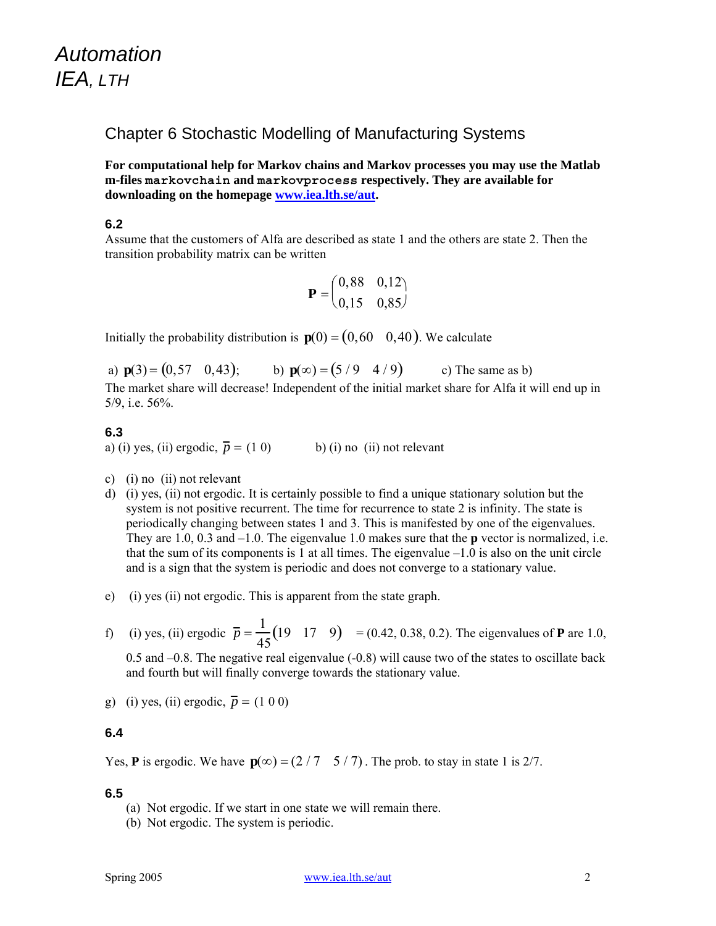## Chapter 6 Stochastic Modelling of Manufacturing Systems

**For computational help for Markov chains and Markov processes you may use the Matlab m-files markovchain and markovprocess respectively. They are available for downloading on the homepage www.iea.lth.se/aut.** 

### **6.2**

Assume that the customers of Alfa are described as state 1 and the others are state 2. Then the transition probability matrix can be written

$$
\mathbf{P} = \begin{pmatrix} 0,88 & 0,12 \\ 0,15 & 0,85 \end{pmatrix}
$$

Initially the probability distribution is  $\mathbf{p}(0) = (0,60 \quad 0,40)$ . We calculate

a) **p**(3) = (0,57 0,43); b) **p**(∞) = (5/9 4/9) c) The same as b) The market share will decrease! Independent of the initial market share for Alfa it will end up in 5/9, i.e. 56%.

### **6.3**

a) (i) yes, (ii) ergodic,  $\overline{p} = (1 \ 0)$  b) (i) no (ii) not relevant

- c) (i) no (ii) not relevant
- d) (i) yes, (ii) not ergodic. It is certainly possible to find a unique stationary solution but the system is not positive recurrent. The time for recurrence to state 2 is infinity. The state is periodically changing between states 1 and 3. This is manifested by one of the eigenvalues. They are 1.0, 0.3 and –1.0. The eigenvalue 1.0 makes sure that the **p** vector is normalized, i.e. that the sum of its components is 1 at all times. The eigenvalue  $-1.0$  is also on the unit circle and is a sign that the system is periodic and does not converge to a stationary value.
- e) (i) yes (ii) not ergodic. This is apparent from the state graph.
- f) (i) yes, (ii) ergodic  $\bar{p} = \frac{1}{45}(19 \quad 17 \quad 9) = (0.42, 0.38, 0.2)$ . The eigenvalues of **P** are 1.0, 0.5 and –0.8. The negative real eigenvalue (-0.8) will cause two of the states to oscillate back and fourth but will finally converge towards the stationary value.
- g) (i) yes, (ii) ergodic,  $\overline{p} = (1 \ 0 \ 0)$

### **6.4**

Yes, **P** is ergodic. We have  $p(\infty) = (2 / 7 \cdot 5 / 7)$ . The prob. to stay in state 1 is 2/7.

#### **6.5**

- (a) Not ergodic. If we start in one state we will remain there.
- (b) Not ergodic. The system is periodic.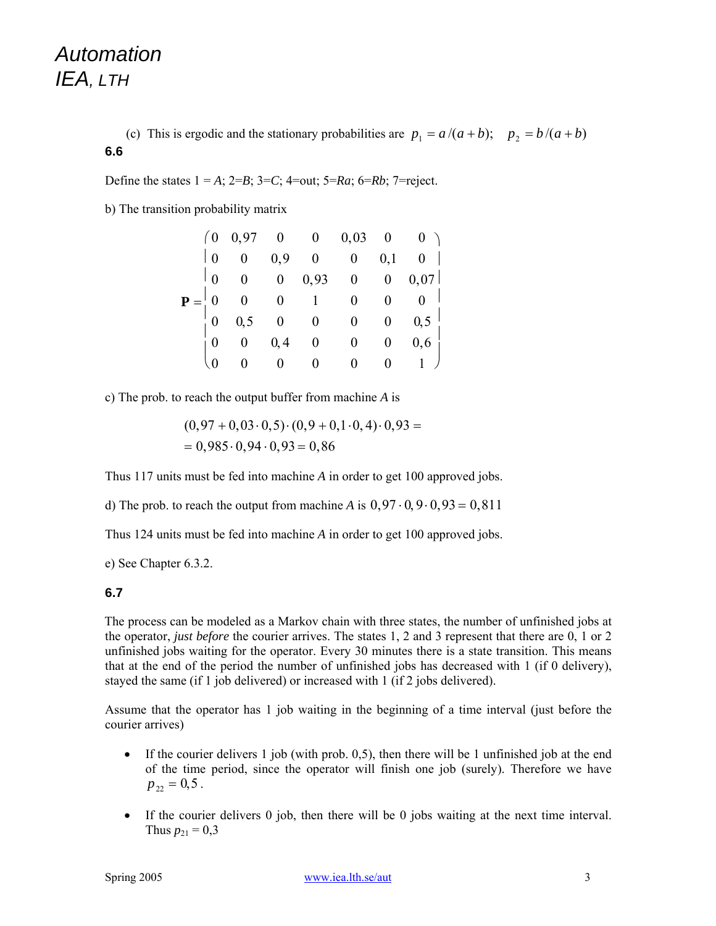(c) This is ergodic and the stationary probabilities are  $p_1 = a/(a+b)$ ;  $p_2 = b/(a+b)$ **6.6** 

Define the states  $1 = A$ ;  $2=B$ ;  $3=C$ ;  $4=$ out;  $5=Ra$ ;  $6=Rb$ ;  $7=$ reject.

b) The transition probability matrix

|  |  |  | $(0\quad 0.97 \quad 0 \quad 0 \quad 0.03 \quad 0 \quad 0)$ |
|--|--|--|------------------------------------------------------------|
|  |  |  |                                                            |
|  |  |  |                                                            |
|  |  |  |                                                            |
|  |  |  |                                                            |
|  |  |  |                                                            |
|  |  |  |                                                            |

c) The prob. to reach the output buffer from machine *A* is

$$
(0,97+0,03\cdot 0,5)\cdot (0,9+0,1\cdot 0,4)\cdot 0,93 =
$$
  
= 0,985\cdot 0,94\cdot 0,93 = 0,86

Thus 117 units must be fed into machine *A* in order to get 100 approved jobs.

d) The prob. to reach the output from machine *A* is  $0.97 \cdot 0.9 \cdot 0.93 = 0.811$ 

Thus 124 units must be fed into machine *A* in order to get 100 approved jobs.

e) See Chapter 6.3.2.

#### **6.7**

The process can be modeled as a Markov chain with three states, the number of unfinished jobs at the operator, *just before* the courier arrives. The states 1, 2 and 3 represent that there are 0, 1 or 2 unfinished jobs waiting for the operator. Every 30 minutes there is a state transition. This means that at the end of the period the number of unfinished jobs has decreased with 1 (if 0 delivery), stayed the same (if 1 job delivered) or increased with 1 (if 2 jobs delivered).

 Assume that the operator has 1 job waiting in the beginning of a time interval (just before the courier arrives)

- If the courier delivers 1 job (with prob.  $(0,5)$ , then there will be 1 unfinished job at the end of the time period, since the operator will finish one job (surely). Therefore we have  $p_{22} = 0.5$ .
- If the courier delivers 0 job, then there will be 0 jobs waiting at the next time interval. Thus  $p_{21} = 0,3$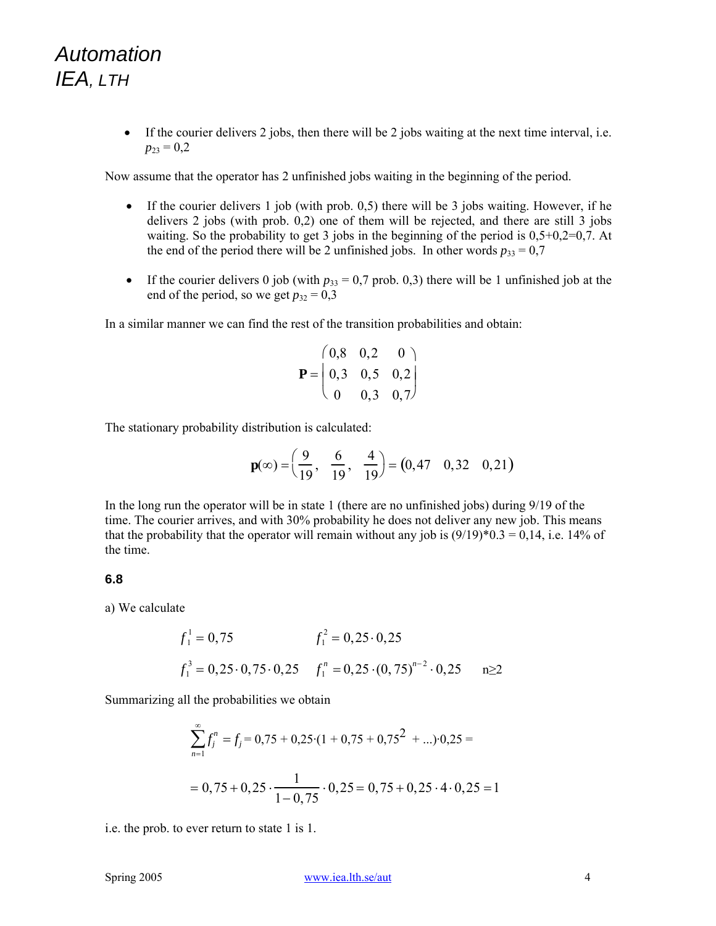• If the courier delivers 2 jobs, then there will be 2 jobs waiting at the next time interval, i.e.  $p_{23} = 0.2$ 

Now assume that the operator has 2 unfinished jobs waiting in the beginning of the period.

- If the courier delivers 1 job (with prob.  $0,5$ ) there will be 3 jobs waiting. However, if he delivers 2 jobs (with prob. 0,2) one of them will be rejected, and there are still 3 jobs waiting. So the probability to get 3 jobs in the beginning of the period is  $0.5+0.2=0.7$ . At the end of the period there will be 2 unfinished jobs. In other words  $p_{33} = 0.7$
- If the courier delivers 0 job (with  $p_{33} = 0.7$  prob. 0,3) there will be 1 unfinished job at the end of the period, so we get  $p_{32} = 0.3$

In a similar manner we can find the rest of the transition probabilities and obtain:

$$
\mathbf{P} = \begin{pmatrix} 0.8 & 0.2 & 0 \\ 0.3 & 0.5 & 0.2 \\ 0 & 0.3 & 0.7 \end{pmatrix}
$$

The stationary probability distribution is calculated:

$$
\mathbf{p}(\infty) = \left(\frac{9}{19}, \frac{6}{19}, \frac{4}{19}\right) = (0, 47 \quad 0, 32 \quad 0, 21)
$$

In the long run the operator will be in state 1 (there are no unfinished jobs) during 9/19 of the time. The courier arrives, and with 30% probability he does not deliver any new job. This means that the probability that the operator will remain without any job is  $(9/19)^*0.3 = 0.14$ , i.e. 14% of the time.

#### **6.8**

a) We calculate

$$
f_1^1 = 0,75
$$
  $f_1^2 = 0,25 \cdot 0,25$   
 $f_1^3 = 0,25 \cdot 0,75 \cdot 0,25$   $f_1^n = 0,25 \cdot (0,75)^{n-2} \cdot 0,25$   $n \ge 2$ 

Summarizing all the probabilities we obtain

$$
\sum_{n=1}^{\infty} f_j^n = f_j = 0,75 + 0,25 \cdot (1 + 0,75 + 0,75^2 + ...)0,25 =
$$
  
= 0,75 + 0,25 \cdot  $\frac{1}{1 - 0,75} \cdot 0,25 = 0,75 + 0,25 \cdot 4 \cdot 0,25 = 1$ 

i.e. the prob. to ever return to state 1 is 1.

Spring 2005 www.iea.lth.se/aut 4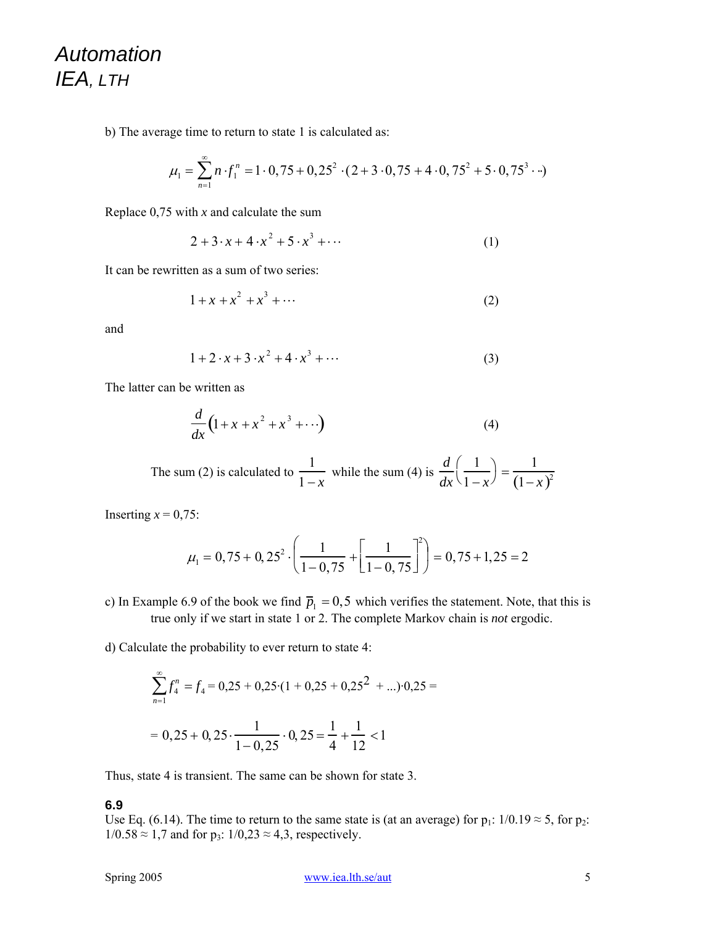b) The average time to return to state 1 is calculated as:

$$
\mu_1 = \sum_{n=1}^{\infty} n \cdot f_1^n = 1 \cdot 0,75 + 0,25^2 \cdot (2 + 3 \cdot 0,75 + 4 \cdot 0,75^2 + 5 \cdot 0,75^3 \cdot \cdot \cdot)
$$

Replace 0,75 with *x* and calculate the sum

$$
2 + 3 \cdot x + 4 \cdot x^2 + 5 \cdot x^3 + \cdots \tag{1}
$$

It can be rewritten as a sum of two series:

$$
1 + x + x^2 + x^3 + \cdots \tag{2}
$$

and

$$
1 + 2 \cdot x + 3 \cdot x^2 + 4 \cdot x^3 + \cdots \tag{3}
$$

The latter can be written as

$$
\frac{d}{dx}\left(1+x+x^2+x^3+\cdots\right) \tag{4}
$$

The sum (2) is calculated to  $\frac{1}{1}$  $\frac{1}{1-x}$  while the sum (4) is  $\frac{d}{dx}$ *dx* 1 1 − *x*  $\left(\frac{1}{1-x}\right) = \frac{1}{(1-x)^2}$ 

Inserting  $x = 0.75$ :

$$
\mu_1 = 0,75 + 0,25^2 \cdot \left( \frac{1}{1 - 0,75} + \left[ \frac{1}{1 - 0,75} \right]^2 \right) = 0,75 + 1,25 = 2
$$

- c) In Example 6.9 of the book we find  $\bar{p}_1 = 0.5$  which verifies the statement. Note, that this is true only if we start in state 1 or 2. The complete Markov chain is *not* ergodic.
- d) Calculate the probability to ever return to state 4:

$$
\sum_{n=1}^{\infty} f_4^n = f_4 = 0,25 + 0,25 \cdot (1 + 0,25 + 0,25^2 + ...)0,25 =
$$
  
= 0,25 + 0,25 \cdot  $\frac{1}{1 - 0,25} \cdot 0,25 = \frac{1}{4} + \frac{1}{12} < 1$ 

Thus, state 4 is transient. The same can be shown for state 3.

#### **6.9**

Use Eq. (6.14). The time to return to the same state is (at an average) for  $p_1$ :  $1/0.19 \approx 5$ , for  $p_2$ :  $1/0.58 \approx 1.7$  and for p<sub>3</sub>:  $1/0.23 \approx 4.3$ , respectively.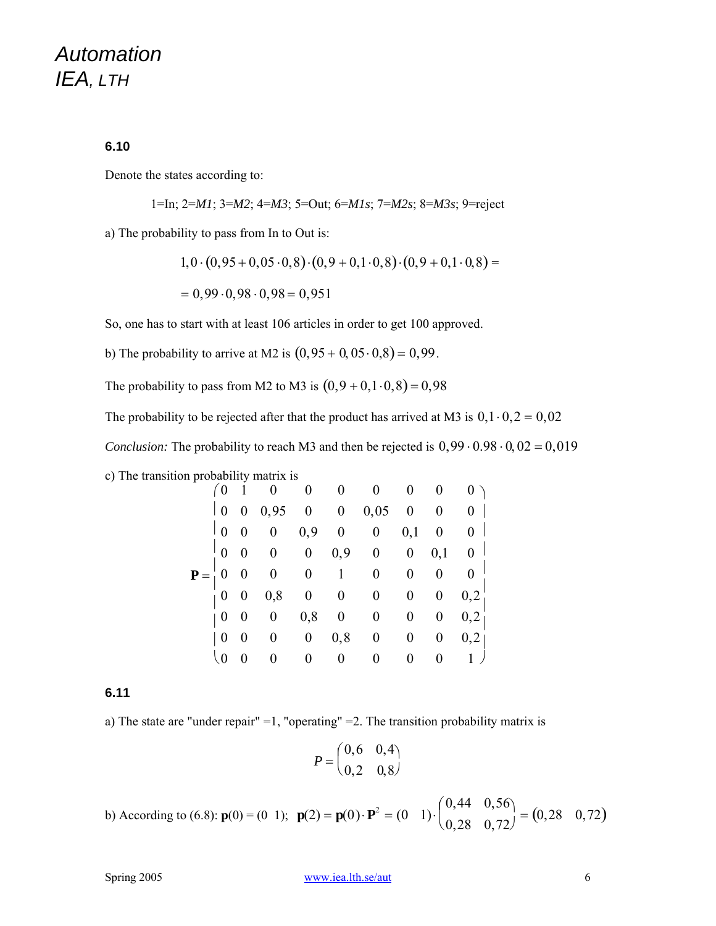### **6.10**

Denote the states according to:

1=In; 2=*M1*; 3=*M2*; 4=*M3*; 5=Out; 6=*M1s*; 7=*M2s*; 8=*M3s*; 9=reject

a) The probability to pass from In to Out is:

$$
1,0 \cdot (0,95+0,05 \cdot 0,8) \cdot (0,9+0,1 \cdot 0,8) \cdot (0,9+0,1 \cdot 0,8) =
$$
  
= 0,99 \cdot 0,98 \cdot 0,98 = 0,951

So, one has to start with at least 106 articles in order to get 100 approved.

b) The probability to arrive at M2 is  $(0,95 + 0,05 \cdot 0,8) = 0,99$ .

The probability to pass from M2 to M3 is  $(0,9 + 0,1 \cdot 0,8) = 0,98$ 

The probability to be rejected after that the product has arrived at M3 is  $0.1 \cdot 0.2 = 0.02$ 

*Conclusion:* The probability to reach M3 and then be rejected is  $0,99 \cdot 0.98 \cdot 0,02 = 0,019$ 

| c) The transition probability matrix is |                  |                  |                  |                  |                  |                  |                  |                  |                  |
|-----------------------------------------|------------------|------------------|------------------|------------------|------------------|------------------|------------------|------------------|------------------|
|                                         |                  |                  | 0                | $\boldsymbol{0}$ | $\boldsymbol{0}$ | $\boldsymbol{0}$ | $\boldsymbol{0}$ | $\theta$         |                  |
| $\mid 0$                                |                  | $\boldsymbol{0}$ | 0,95             | $\boldsymbol{0}$ | $\boldsymbol{0}$ | 0,05             | $\boldsymbol{0}$ | $\boldsymbol{0}$ | $\boldsymbol{0}$ |
|                                         | $\overline{0}$   |                  | $\boldsymbol{0}$ | 0,9              | $\boldsymbol{0}$ | $\boldsymbol{0}$ | 0,1              | $\boldsymbol{0}$ | $\boldsymbol{0}$ |
|                                         | $\theta$         | 0                | $\boldsymbol{0}$ | $\boldsymbol{0}$ | 0,9              | $\boldsymbol{0}$ | $\boldsymbol{0}$ | 0,1              | $\boldsymbol{0}$ |
| $P =$                                   |                  |                  | $\boldsymbol{0}$ | $\boldsymbol{0}$ | $\mathbf{1}$     | $\boldsymbol{0}$ | $\boldsymbol{0}$ | $\boldsymbol{0}$ |                  |
|                                         |                  | $\boldsymbol{0}$ | 0,8              | $\boldsymbol{0}$ | $\boldsymbol{0}$ | $\boldsymbol{0}$ | $\boldsymbol{0}$ | $\boldsymbol{0}$ | 0,2              |
|                                         | $\boldsymbol{0}$ |                  | $\boldsymbol{0}$ | 0,8              | $\boldsymbol{0}$ | $\boldsymbol{0}$ | $\boldsymbol{0}$ | $\boldsymbol{0}$ | 0,2              |
|                                         | $\overline{0}$   |                  | 0                | $\boldsymbol{0}$ | 0, 8             | $\boldsymbol{0}$ | $\boldsymbol{0}$ | $\boldsymbol{0}$ | 0,2              |
|                                         |                  |                  | $\overline{0}$   | $\overline{0}$   | 0                | $\overline{0}$   | 0                | $\theta$         |                  |

**6.11** 

a) The state are "under repair" =1, "operating" =2. The transition probability matrix is

$$
P = \begin{pmatrix} 0,6 & 0,4 \\ 0,2 & 0,8 \end{pmatrix}
$$

b) According to (6.8): **p**(0) = (0 1); **p**(2) = **p**(0) ·  $\mathbf{P}^2 = (0 \quad 1) \cdot \begin{pmatrix} 0.44 & 0.56 \\ 0.28 & 0.72 \end{pmatrix}$ ⎛ ⎝  $\begin{pmatrix} 0,44 & 0,56 \\ 0,28 & 0,72 \end{pmatrix} = (0,28 \quad 0,72)$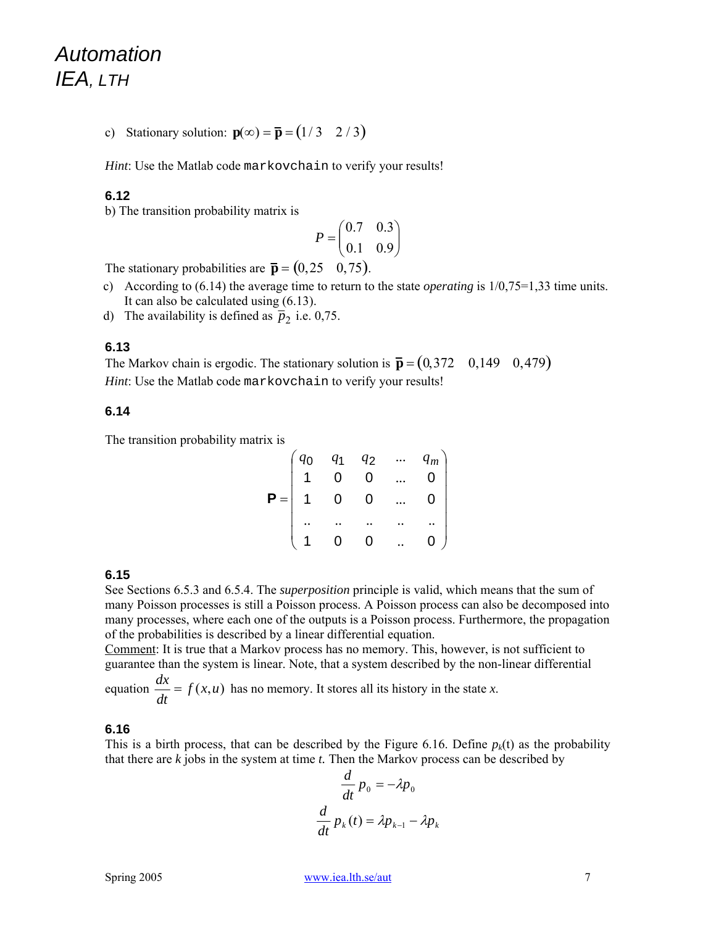c) Stationary solution:  $\mathbf{p}(\infty) = \overline{\mathbf{p}} = (1/3 \quad 2/3)$ 

*Hint*: Use the Matlab code markovchain to verify your results!

### **6.12**

b) The transition probability matrix is

$$
P = \begin{pmatrix} 0.7 & 0.3 \\ 0.1 & 0.9 \end{pmatrix}
$$

The stationary probabilities are  $\bar{\mathbf{p}} = (0.25 \quad 0.75)$ .

c) According to (6.14) the average time to return to the state *operating* is 1/0,75=1,33 time units. It can also be calculated using (6.13).

d) The availability is defined as  $\bar{p}_2$  i.e. 0,75.

### **6.13**

The Markov chain is ergodic. The stationary solution is  $\mathbf{\bar{p}} = (0,372 \quad 0,149 \quad 0,479)$ *Hint*: Use the Matlab code markovchain to verify your results!

### **6.14**

The transition probability matrix is

| $q_0$ | $q_1$ | $\begin{array}{c} q_2 \\ 0 \end{array}$ | $q_m$ |
|-------|-------|-----------------------------------------|-------|
|       | O     |                                         | 0     |
|       | Ó     | በ                                       | 0     |
|       |       |                                         |       |
|       |       | O                                       | 0     |

### **6.15**

See Sections 6.5.3 and 6.5.4. The *superposition* principle is valid, which means that the sum of many Poisson processes is still a Poisson process. A Poisson process can also be decomposed into many processes, where each one of the outputs is a Poisson process. Furthermore, the propagation of the probabilities is described by a linear differential equation.

Comment: It is true that a Markov process has no memory. This, however, is not sufficient to guarantee than the system is linear. Note, that a system described by the non-linear differential

equation  $\frac{dx}{dt} = f(x, u)$  has no memory. It stores all its history in the state *x*.

#### **6.16**

This is a birth process, that can be described by the Figure 6.16. Define  $p_k(t)$  as the probability that there are  $k$  jobs in the system at time  $t$ . Then the Markov process can be described by

$$
\frac{d}{dt} p_0 = -\lambda p_0
$$
  

$$
\frac{d}{dt} p_k(t) = \lambda p_{k-1} - \lambda p_k
$$

Spring 2005 www.iea.lth.se/aut 7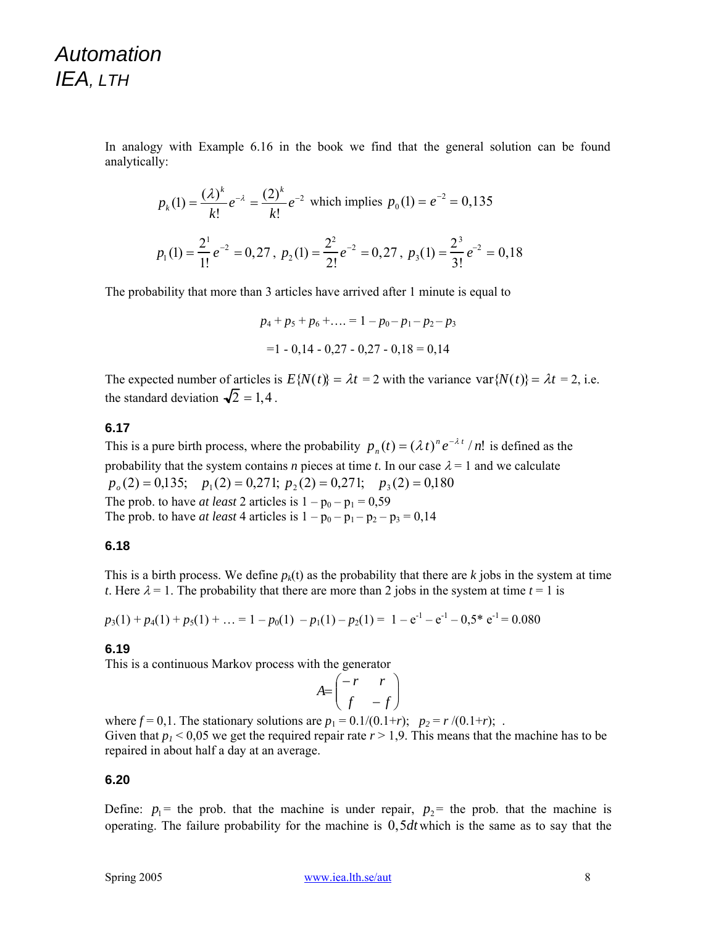> In analogy with Example 6.16 in the book we find that the general solution can be found analytically:

$$
p_k(1) = \frac{(\lambda)^k}{k!} e^{-\lambda} = \frac{(2)^k}{k!} e^{-2}
$$
 which implies  $p_0(1) = e^{-2} = 0,135$   

$$
p_1(1) = \frac{2^1}{1!} e^{-2} = 0,27, p_2(1) = \frac{2^2}{2!} e^{-2} = 0,27, p_3(1) = \frac{2^3}{3!} e^{-2} = 0,18
$$

The probability that more than 3 articles have arrived after 1 minute is equal to

$$
p_4 + p_5 + p_6 + \dots = 1 - p_0 - p_1 - p_2 - p_3
$$
  
= 1 - 0,14 - 0,27 - 0,27 - 0,18 = 0,14

The expected number of articles is  $E{N(t)} = \lambda t = 2$  with the variance var ${N(t)} = \lambda t = 2$ , i.e. the standard deviation  $\sqrt{2} = 1.4$ .

#### **6.17**

This is a pure birth process, where the probability  $p_n(t) = (\lambda t)^n e^{-\lambda t} / n!$  is defined as the probability that the system contains *n* pieces at time *t*. In our case  $\lambda = 1$  and we calculate  $p<sub>o</sub>(2) = 0,135;$   $p<sub>1</sub>(2) = 0,271;$   $p<sub>2</sub>(2) = 0,271;$   $p<sub>3</sub>(2) = 0,180$ The prob. to have *at least* 2 articles is  $1 - p_0 - p_1 = 0.59$ The prob. to have *at least* 4 articles is  $1 - p_0 - p_1 - p_2 - p_3 = 0.14$ 

#### **6.18**

This is a birth process. We define  $p_k(t)$  as the probability that there are k jobs in the system at time *t*. Here  $\lambda = 1$ . The probability that there are more than 2 jobs in the system at time  $t = 1$  is

$$
p_3(1) + p_4(1) + p_5(1) + \ldots = 1 - p_0(1) - p_1(1) - p_2(1) = 1 - e^{-1} - e^{-1} - 0.5^* e^{-1} = 0.080
$$

#### **6.19**

This is a continuous Markov process with the generator

$$
A = \begin{pmatrix} -r & r \\ f & -f \end{pmatrix}
$$

where  $f = 0,1$ . The stationary solutions are  $p_1 = 0.1/(0.1+r)$ ;  $p_2 = r/(0.1+r)$ ; . Given that  $p_1 < 0.05$  we get the required repair rate  $r > 1.9$ . This means that the machine has to be repaired in about half a day at an average.

#### **6.20**

Define:  $p_1$ = the prob. that the machine is under repair,  $p_2$ = the prob. that the machine is operating. The failure probability for the machine is 0,5*dt* which is the same as to say that the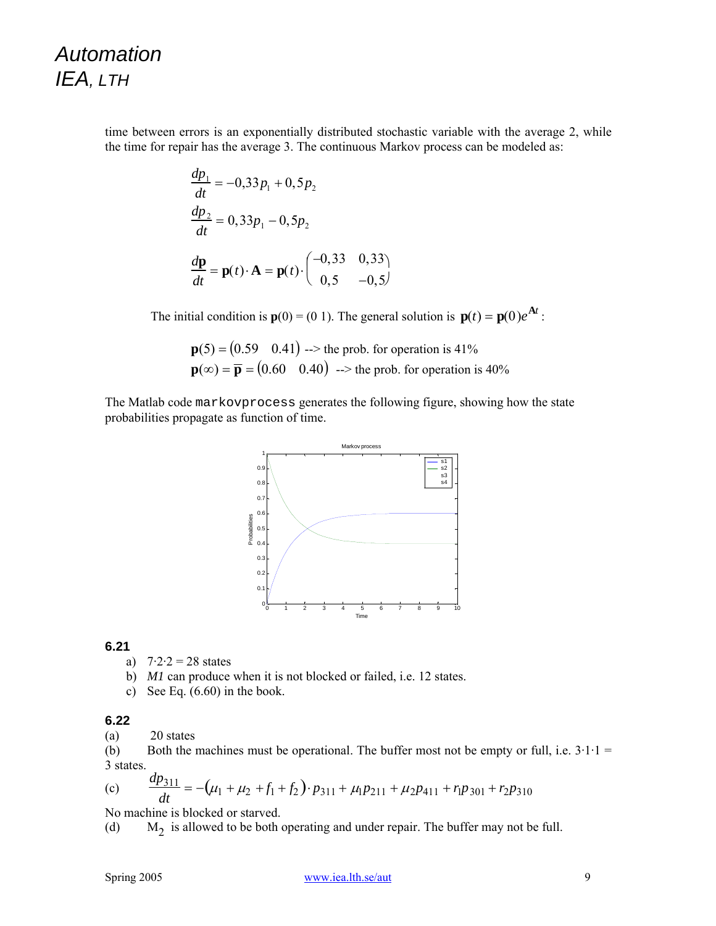> time between errors is an exponentially distributed stochastic variable with the average 2, while the time for repair has the average 3. The continuous Markov process can be modeled as:

$$
\frac{dp_1}{dt} = -0,33p_1 + 0,5p_2
$$
  

$$
\frac{dp_2}{dt} = 0,33p_1 - 0,5p_2
$$
  

$$
\frac{d\mathbf{p}}{dt} = \mathbf{p}(t) \cdot \mathbf{A} = \mathbf{p}(t) \cdot \begin{pmatrix} -0,33 & 0,33\\ 0,5 & -0,5 \end{pmatrix}
$$

The initial condition is  $\mathbf{p}(0) = (0 \ 1)$ . The general solution is  $\mathbf{p}(t) = \mathbf{p}(0)e^{\mathbf{A}t}$ .

$$
\mathbf{p}(5) = (0.59 \ 0.41) \ \text{--> the prob. for operation is 41\%}
$$
\n
$$
\mathbf{p}(\infty) = \overline{\mathbf{p}} = (0.60 \ 0.40) \ \text{--> the prob. for operation is 40\%}
$$

The Matlab code markovprocess generates the following figure, showing how the state probabilities propagate as function of time.



#### **6.21**

a)  $7.2.2 = 28$  states

- b) *M1* can produce when it is not blocked or failed, i.e. 12 states.
- c) See Eq. (6.60) in the book.

### **6.22**

(a) 20 states

(b) Both the machines must be operational. The buffer most not be empty or full, i.e.  $3 \cdot 1 \cdot 1 =$ 3 states.

(c) 
$$
\frac{dp_{311}}{dt} = -(\mu_1 + \mu_2 + f_1 + f_2) \cdot p_{311} + \mu_1 p_{211} + \mu_2 p_{411} + r_1 p_{301} + r_2 p_{310}
$$

No machine is blocked or starved.

(d)  $M_2$  is allowed to be both operating and under repair. The buffer may not be full.

#### Spring 2005 www.iea.lth.se/aut 9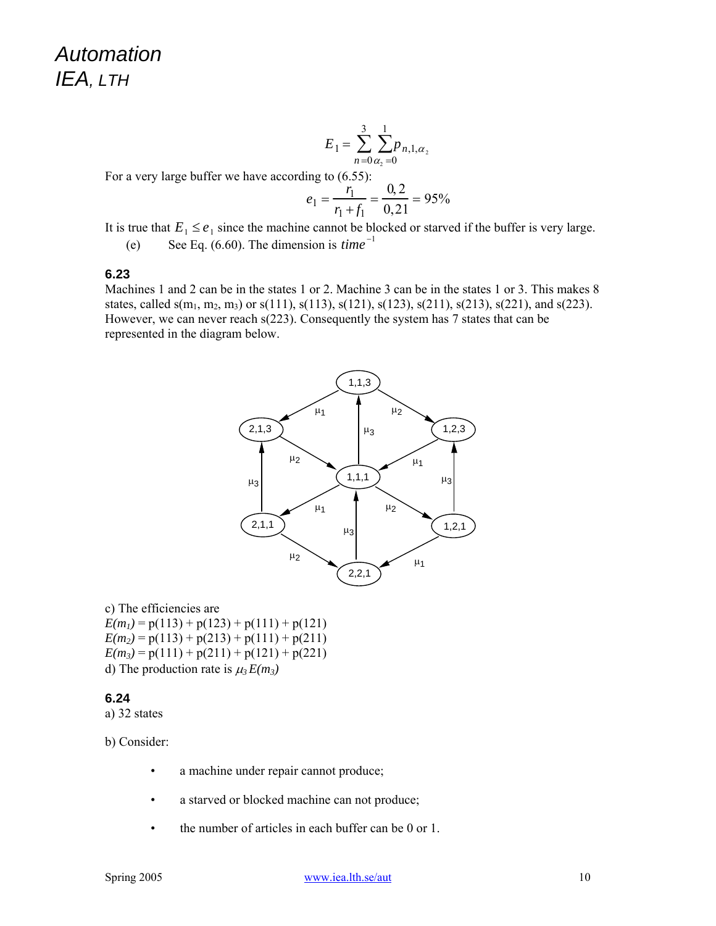$$
E_1 = \sum_{n=0}^{3} \sum_{\alpha_2=0}^{1} p_{n,1,\alpha_2}
$$

For a very large buffer we have according to (6.55):

$$
e_1 = \frac{r_1}{r_1 + f_1} = \frac{0, 2}{0, 21} = 95\%
$$

It is true that  $E_1 \le e_1$  since the machine cannot be blocked or starved if the buffer is very large.

(e) See Eq.  $(6.60)$ . The dimension is  $time^{-1}$ 

#### **6.23**

Machines 1 and 2 can be in the states 1 or 2. Machine 3 can be in the states 1 or 3. This makes 8 states, called  $s(m_1, m_2, m_3)$  or  $s(111)$ ,  $s(113)$ ,  $s(121)$ ,  $s(123)$ ,  $s(211)$ ,  $s(213)$ ,  $s(221)$ , and  $s(223)$ . However, we can never reach s(223). Consequently the system has 7 states that can be represented in the diagram below.



c) The efficiencies are

 $E(m_1) = p(113) + p(123) + p(111) + p(121)$  $E(m_2) = p(113) + p(213) + p(111) + p(211)$  $E(m_3) = p(111) + p(211) + p(121) + p(221)$ d) The production rate is  $\mu_3 E(m_3)$ 

#### **6.24**

a) 32 states

b) Consider:

- a machine under repair cannot produce;
- a starved or blocked machine can not produce;
- the number of articles in each buffer can be 0 or 1.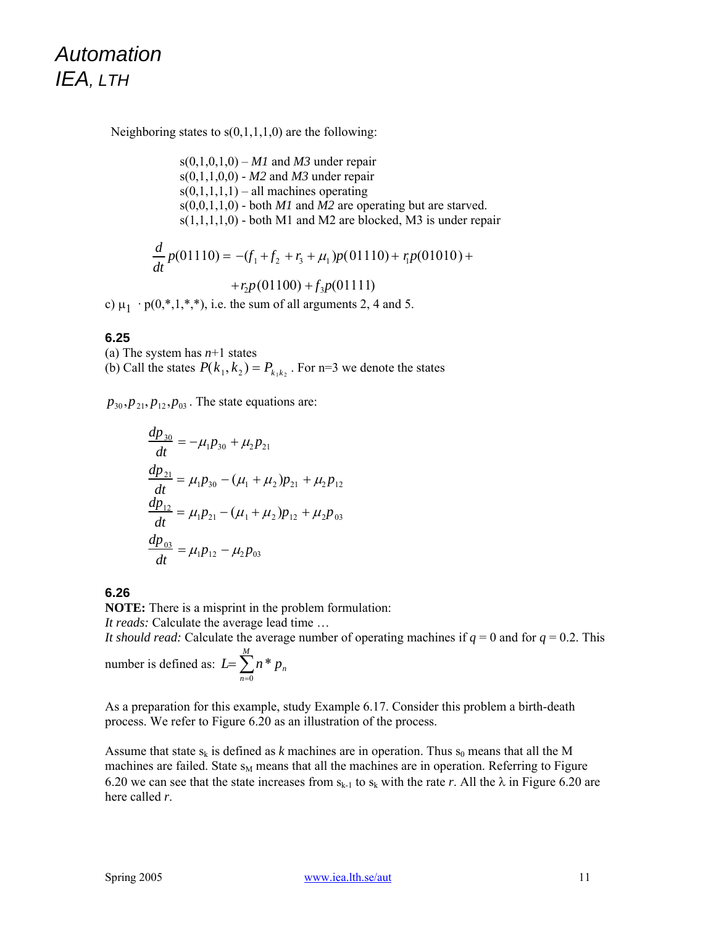Neighboring states to  $s(0,1,1,1,0)$  are the following:

 $s(0,1,0,1,0) - M1$  and M3 under repair s(0,1,1,0,0) - *M2* and *M3* under repair  $s(0,1,1,1,1)$  – all machines operating s(0,0,1,1,0) - both *M1* and *M2* are operating but are starved.  $s(1,1,1,1,0)$  - both M1 and M2 are blocked, M3 is under repair

$$
\frac{d}{dt}p(01110) = -(f_1 + f_2 + r_3 + \mu_1)p(01110) + r_1p(01010) +
$$
  
+ 
$$
r_2p(01100) + f_3p(01111)
$$

c)  $\mu_1 \cdot p(0, 1, 1, 1, 1)$ , i.e. the sum of all arguments 2, 4 and 5.

#### **6.25**

(a) The system has *n*+1 states

(b) Call the states  $P(k_1, k_2) = P_{k_1k_2}$ . For n=3 we denote the states

 $p_{30}$ ,  $p_{21}$ ,  $p_{12}$ ,  $p_{03}$ . The state equations are:

$$
\frac{dp_{30}}{dt} = -\mu_1 p_{30} + \mu_2 p_{21}
$$
\n
$$
\frac{dp_{21}}{dt} = \mu_1 p_{30} - (\mu_1 + \mu_2) p_{21} + \mu_2 p_{12}
$$
\n
$$
\frac{dp_{12}}{dt} = \mu_1 p_{21} - (\mu_1 + \mu_2) p_{12} + \mu_2 p_{03}
$$
\n
$$
\frac{dp_{03}}{dt} = \mu_1 p_{12} - \mu_2 p_{03}
$$

#### **6.26**

**NOTE:** There is a misprint in the problem formulation:

*n*

0

*It reads:* Calculate the average lead time …

*It should read:* Calculate the average number of operating machines if  $q = 0$  and for  $q = 0.2$ . This number is defined as:  $L = \sum_{n=0}^{\infty}$ *M*  $L = \sum n^* p_n$ \*

As a preparation for this example, study Example 6.17. Consider this problem a birth-death process. We refer to Figure 6.20 as an illustration of the process.

Assume that state  $s_k$  is defined as *k* machines are in operation. Thus  $s_0$  means that all the M machines are failed. State  $s_M$  means that all the machines are in operation. Referring to Figure 6.20 we can see that the state increases from  $s_{k-1}$  to  $s_k$  with the rate *r*. All the  $\lambda$  in Figure 6.20 are here called *r*.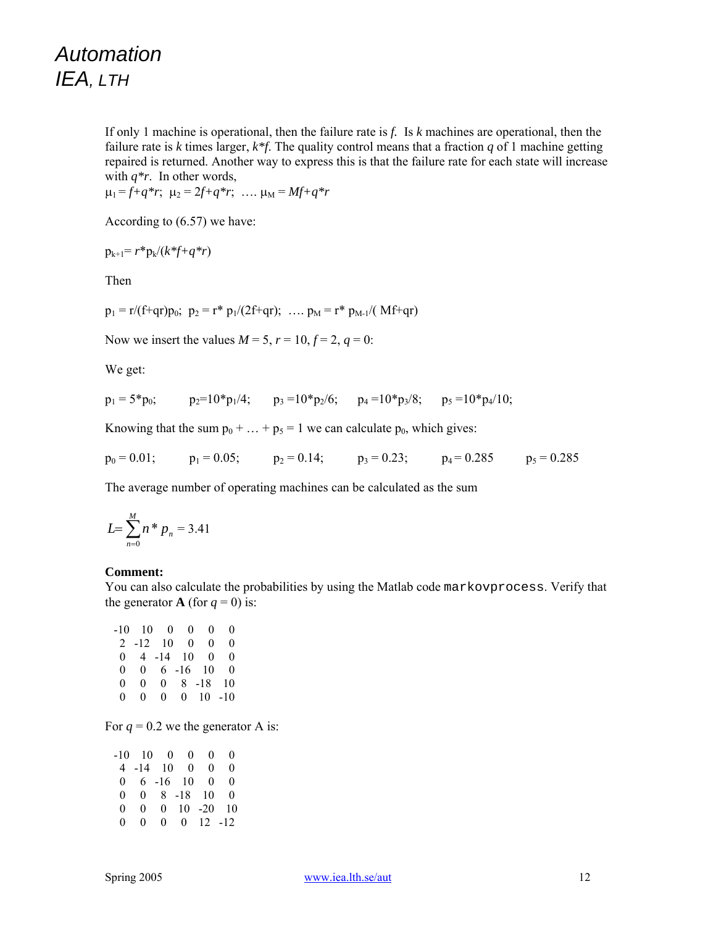If only 1 machine is operational, then the failure rate is *f.* Is *k* machines are operational, then the failure rate is *k* times larger, *k\*f*. The quality control means that a fraction *q* of 1 machine getting repaired is returned. Another way to express this is that the failure rate for each state will increase with *q\*r*. In other words,

 $\mu_1 = f + q^*r$ ;  $\mu_2 = 2f + q^*r$ ; ….  $\mu_M = Mf + q^*r$ 

According to (6.57) we have:

$$
p_{k+1} = r^* p_k / (k^* f + q^* r)
$$

Then

 $p_1 = r/(f+qr)p_0$ ;  $p_2 = r * p_1/(2f+qr)$ ; ...  $p_M = r * p_{M-1}/(Mf+qr)$ 

Now we insert the values  $M = 5$ ,  $r = 10$ ,  $f = 2$ ,  $q = 0$ :

We get:

$$
p_1 = 5 \ ^* p_0; \qquad \quad p_2 = 10 \ ^* p_1 / 4; \qquad p_3 = 10 \ ^* p_2 / 6; \qquad p_4 = 10 \ ^* p_3 / 8; \qquad p_5 = 10 \ ^* p_4 / 10;
$$

Knowing that the sum  $p_0 + ... + p_5 = 1$  we can calculate  $p_0$ , which gives:

 $p_0 = 0.01;$   $p_1 = 0.05;$   $p_2 = 0.14;$   $p_3 = 0.23;$   $p_4 = 0.285$   $p_5 = 0.285$ 

The average number of operating machines can be calculated as the sum

$$
L = \sum_{n=0}^{M} n^* p_n = 3.41
$$

#### **Comment:**

You can also calculate the probabilities by using the Matlab code markovprocess. Verify that the generator **A** (for  $q = 0$ ) is:

|              | $-10 \quad 10 \quad 0$ |               | $\Omega$ | $\Omega$              | 0        |
|--------------|------------------------|---------------|----------|-----------------------|----------|
|              | $2 -12 10$             |               | 0.       | 0                     | $^{(1)}$ |
| $\bf{0}$     |                        | $4 - 14 = 10$ |          | $\overline{0}$        | 0        |
| 0            |                        |               |          | $0 \t 6 \t -16 \t 10$ | $\theta$ |
| 0            | $\mathbf{0}$           |               |          | $0 \t 8 \t -18 \t 10$ |          |
| $\mathbf{0}$ | $\Omega$               | 0.            |          | $0 \t10 \t-10$        |          |

For  $q = 0.2$  we the generator A is:

|              | $-10 \quad 10 \quad 0$ | $\Omega$              | $\mathbf{0}$ | $\mathbf{0}$ |
|--------------|------------------------|-----------------------|--------------|--------------|
|              | $4 - 14 = 10$          | $\overline{0}$        | 0            | 0            |
| $\mathbf{0}$ |                        | $6 -16$ 10 0          |              | 0            |
| 0.           |                        | $0 \t 8 \t -18 \t 10$ |              | 0            |
| $\mathbf{0}$ | $\theta$               | $0 \t10 \t-20 \t10$   |              |              |
| $\mathbf{0}$ | 0                      | $0 \t 0 \t 12 \t -12$ |              |              |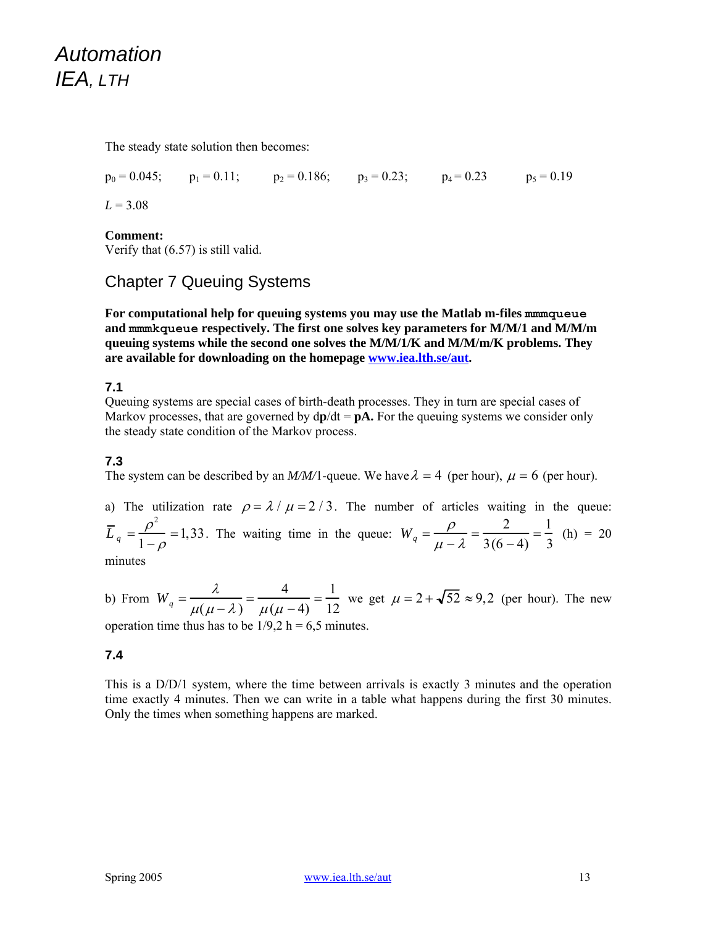The steady state solution then becomes:

 $p_0 = 0.045;$   $p_1 = 0.11;$   $p_2 = 0.186;$   $p_3 = 0.23;$   $p_4 = 0.23$   $p_5 = 0.19$  $L = 3.08$ 

**Comment:** 

Verify that (6.57) is still valid.

## Chapter 7 Queuing Systems

**For computational help for queuing systems you may use the Matlab m-files mmmqueue and mmmkqueue respectively. The first one solves key parameters for M/M/1 and M/M/m queuing systems while the second one solves the M/M/1/K and M/M/m/K problems. They are available for downloading on the homepage www.iea.lth.se/aut.** 

### **7.1**

Queuing systems are special cases of birth-death processes. They in turn are special cases of Markov processes, that are governed by  $dp/dt = pA$ . For the queuing systems we consider only the steady state condition of the Markov process.

### **7.3**

The system can be described by an *M/M/*1-queue. We have  $\lambda = 4$  (per hour),  $\mu = 6$  (per hour).

a) The utilization rate  $\rho = \lambda / \mu = 2/3$ . The number of articles waiting in the queue:  $\overline{L}_q = \frac{\rho^2}{1-\rho} = 1,33$ . The waiting time in the queue:  $W_q = \frac{\rho}{\mu - \lambda}$  $=\frac{2}{3(6-4)}=\frac{1}{3}$  $(h) = 20$ 

minutes

b) From  $W_q = \frac{\lambda}{\mu(\mu - \lambda)}$  $=\frac{4}{\mu(\mu-4)} = \frac{1}{12}$  we get  $\mu = 2 + \sqrt{52} \approx 9.2$  (per hour). The new operation time thus has to be  $1/9.2$  h = 6.5 minutes.

#### **7.4**

This is a D/D/1 system, where the time between arrivals is exactly 3 minutes and the operation time exactly 4 minutes. Then we can write in a table what happens during the first 30 minutes. Only the times when something happens are marked.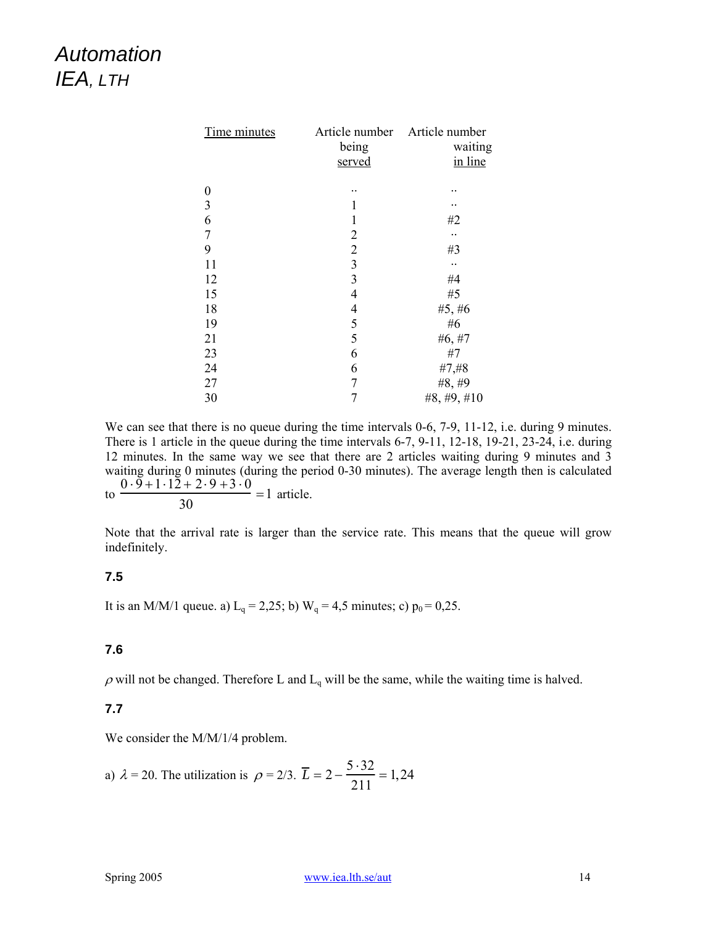| Time minutes            | being<br>served          | Article number Article number<br>waiting<br>in line |
|-------------------------|--------------------------|-----------------------------------------------------|
| $\boldsymbol{0}$        |                          |                                                     |
| $\overline{\mathbf{3}}$ | 1                        |                                                     |
| 6                       | 1                        | #2                                                  |
| 7                       | 2                        |                                                     |
| 9                       | $\overline{2}$           | #3                                                  |
| 11                      | $\mathfrak{Z}$           |                                                     |
| 12                      | $\mathfrak{Z}$           | #4                                                  |
| 15                      | 4                        | #5                                                  |
| 18                      | $\overline{\mathcal{L}}$ | #5, #6                                              |
| 19                      | 5                        | #6                                                  |
| 21                      | 5                        | #6, #7                                              |
| 23                      | 6                        | #7                                                  |
| 24                      | 6                        | #7, #8                                              |
| 27                      | 7                        | #8, #9                                              |
| 30                      |                          | #8, #9, #10                                         |

We can see that there is no queue during the time intervals 0-6, 7-9, 11-12, i.e. during 9 minutes. There is 1 article in the queue during the time intervals 6-7, 9-11, 12-18, 19-21, 23-24, i.e. during 12 minutes. In the same way we see that there are 2 articles waiting during 9 minutes and 3 waiting during 0 minutes (during the period 0-30 minutes). The average length then is calculated  $to$ .  $0.\overline{9}+1.1\overline{2}+2.9+3.0$ 

 $\frac{30}{30}$  = 1 article.

Note that the arrival rate is larger than the service rate. This means that the queue will grow indefinitely.

### **7.5**

It is an M/M/1 queue. a) L<sub>q</sub> = 2,25; b) W<sub>q</sub> = 4,5 minutes; c) p<sub>0</sub> = 0,25.

### **7.6**

 $\rho$  will not be changed. Therefore L and  $L_q$  will be the same, while the waiting time is halved.

### **7.7**

We consider the M/M/1/4 problem.

a) 
$$
\lambda = 20
$$
. The utilization is  $\rho = 2/3$ .  $\overline{L} = 2 - \frac{5 \cdot 32}{211} = 1,24$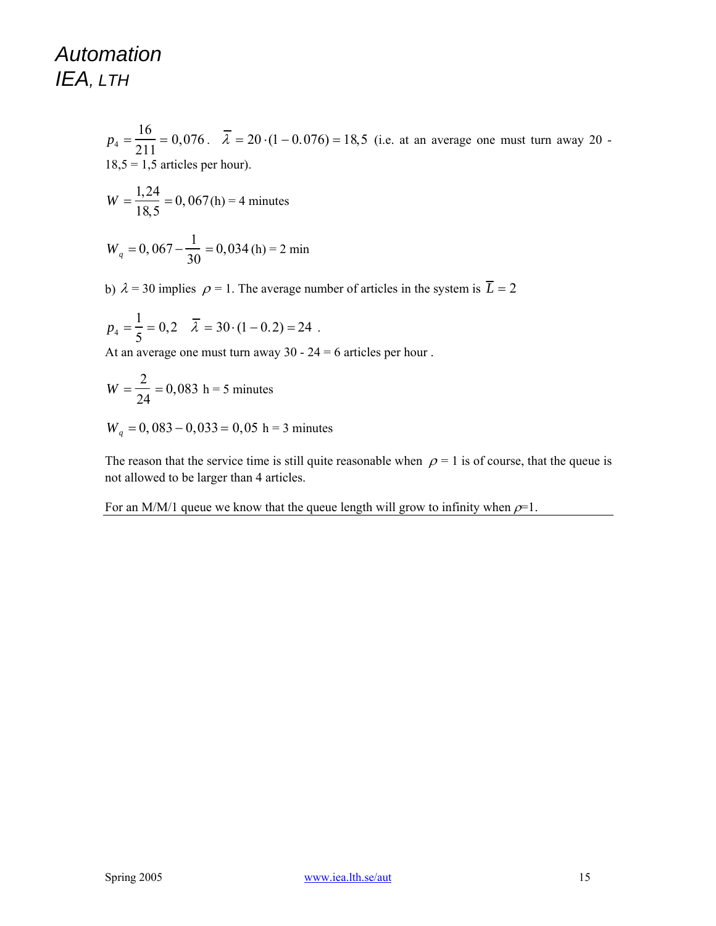$p_4 = \frac{16}{211} = 0.076$ .  $\overline{\lambda} = 20 \cdot (1 - 0.076) = 18.5$  (i.e. at an average one must turn away 20 - $18,5 = 1,5$  articles per hour).

$$
W = \frac{1,24}{18,5} = 0,067(h) = 4 \text{ minutes}
$$

$$
W_q = 0,067 - \frac{1}{30} = 0,034
$$
 (h) = 2 min

b)  $\lambda = 30$  implies  $\rho = 1$ . The average number of articles in the system is  $\overline{L} = 2$ 

$$
p_4 = \frac{1}{5} = 0, 2 \quad \overline{\lambda} = 30 \cdot (1 - 0.2) = 24 \ .
$$

At an average one must turn away  $30 - 24 = 6$  articles per hour.

$$
W = \frac{2}{24} = 0,083 \text{ h} = 5 \text{ minutes}
$$

$$
W_q = 0,083 - 0,033 = 0,05
$$
 h = 3 minutes

The reason that the service time is still quite reasonable when  $\rho = 1$  is of course, that the queue is not allowed to be larger than 4 articles.

For an M/M/1 queue we know that the queue length will grow to infinity when  $\rho=1$ .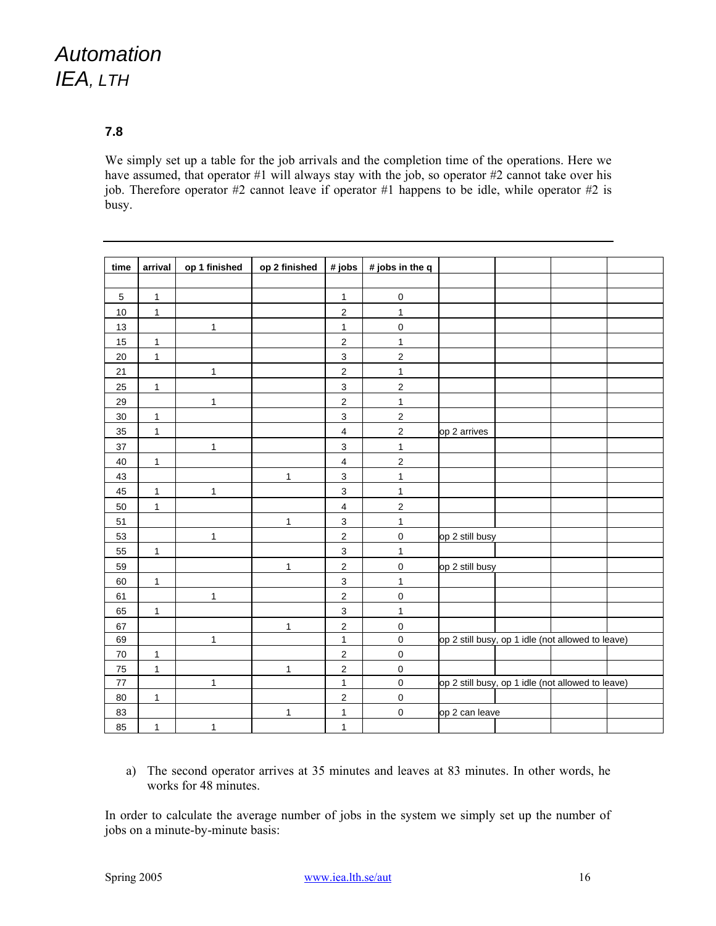### **7.8**

We simply set up a table for the job arrivals and the completion time of the operations. Here we have assumed, that operator #1 will always stay with the job, so operator #2 cannot take over his job. Therefore operator #2 cannot leave if operator #1 happens to be idle, while operator #2 is busy.

| time       | arrival      | op 1 finished | op 2 finished | # jobs                    | # jobs in the q         |                 |                                                   |  |
|------------|--------------|---------------|---------------|---------------------------|-------------------------|-----------------|---------------------------------------------------|--|
|            |              |               |               |                           |                         |                 |                                                   |  |
| $\sqrt{5}$ | $\mathbf{1}$ |               |               | 1                         | $\pmb{0}$               |                 |                                                   |  |
| 10         | $\mathbf{1}$ |               |               | $\mathbf 2$               | $\mathbf{1}$            |                 |                                                   |  |
| 13         |              | $\mathbf{1}$  |               | $\mathbf{1}$              | $\mathbf 0$             |                 |                                                   |  |
| 15         | $\mathbf{1}$ |               |               | $\overline{\mathbf{c}}$   | $\mathbf{1}$            |                 |                                                   |  |
| 20         | $\mathbf{1}$ |               |               | $\ensuremath{\mathsf{3}}$ | $\overline{c}$          |                 |                                                   |  |
| 21         |              | $\mathbf{1}$  |               | $\mathbf 2$               | $\mathbf{1}$            |                 |                                                   |  |
| 25         | $\mathbf{1}$ |               |               | 3                         | 2                       |                 |                                                   |  |
| 29         |              | $\mathbf{1}$  |               | $\overline{c}$            | $\mathbf{1}$            |                 |                                                   |  |
| 30         | $\mathbf{1}$ |               |               | 3                         | $\overline{\mathbf{c}}$ |                 |                                                   |  |
| 35         | $\mathbf{1}$ |               |               | $\overline{\mathbf{4}}$   | $\overline{\mathbf{c}}$ | op 2 arrives    |                                                   |  |
| 37         |              | $\mathbf{1}$  |               | 3                         | $\mathbf{1}$            |                 |                                                   |  |
| 40         | $\mathbf{1}$ |               |               | $\overline{\mathbf{4}}$   | $\overline{\mathbf{c}}$ |                 |                                                   |  |
| 43         |              |               | $\mathbf{1}$  | 3                         | $\mathbf{1}$            |                 |                                                   |  |
| 45         | $\mathbf{1}$ | $\mathbf{1}$  |               | 3                         | $\mathbf{1}$            |                 |                                                   |  |
| 50         | $\mathbf{1}$ |               |               | $\overline{\mathbf{4}}$   | 2                       |                 |                                                   |  |
| 51         |              |               | $\mathbf{1}$  | $\mathsf 3$               | $\mathbf{1}$            |                 |                                                   |  |
| 53         |              | 1             |               | $\overline{\mathbf{c}}$   | $\mathsf 0$             | op 2 still busy |                                                   |  |
| 55         | $\mathbf{1}$ |               |               | $\mathsf 3$               | $\mathbf{1}$            |                 |                                                   |  |
| 59         |              |               | $\mathbf{1}$  | $\overline{2}$            | $\mathsf 0$             | op 2 still busy |                                                   |  |
| 60         | $\mathbf{1}$ |               |               | 3                         | $\mathbf{1}$            |                 |                                                   |  |
| 61         |              | $\mathbf{1}$  |               | $\mathbf 2$               | $\mathsf 0$             |                 |                                                   |  |
| 65         | $\mathbf{1}$ |               |               | $\mathbf{3}$              | $\mathbf{1}$            |                 |                                                   |  |
| 67         |              |               | $\mathbf{1}$  | $\overline{c}$            | $\mathbf 0$             |                 |                                                   |  |
| 69         |              | $\mathbf{1}$  |               | 1                         | $\mathbf 0$             |                 | op 2 still busy, op 1 idle (not allowed to leave) |  |
| $70\,$     | $\mathbf{1}$ |               |               | $\overline{c}$            | $\pmb{0}$               |                 |                                                   |  |
| 75         | $\mathbf{1}$ |               | $\mathbf{1}$  | $\overline{\mathbf{c}}$   | $\pmb{0}$               |                 |                                                   |  |
| $77$       |              | $\mathbf{1}$  |               | $\mathbf{1}$              | $\mathsf{O}\xspace$     |                 | op 2 still busy, op 1 idle (not allowed to leave) |  |
| 80         | $\mathbf{1}$ |               |               | $\overline{\mathbf{c}}$   | $\mathbf 0$             |                 |                                                   |  |
| 83         |              |               | 1             | 1                         | $\mathsf 0$             | op 2 can leave  |                                                   |  |
| 85         | $\mathbf{1}$ | $\mathbf{1}$  |               | $\mathbf{1}$              |                         |                 |                                                   |  |

a) The second operator arrives at 35 minutes and leaves at 83 minutes. In other words, he works for 48 minutes.

In order to calculate the average number of jobs in the system we simply set up the number of jobs on a minute-by-minute basis: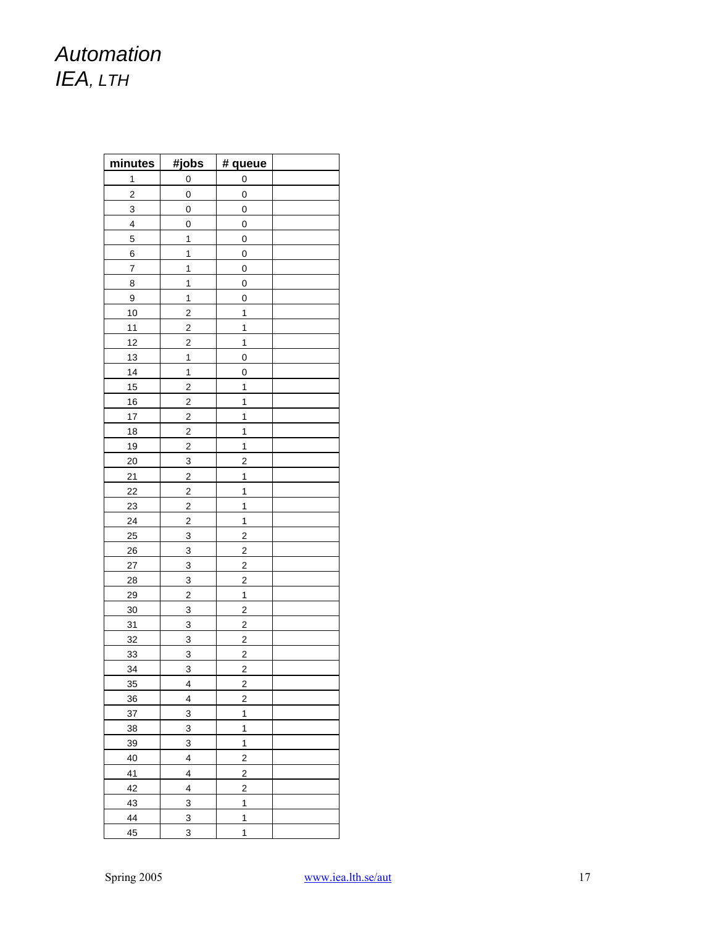| minutes                 | #jobs                   | # queue                 |  |
|-------------------------|-------------------------|-------------------------|--|
| 1                       | 0                       | $\mathbf 0$             |  |
| $\overline{\mathbf{c}}$ | 0                       | $\mathbf 0$             |  |
| 3                       | 0                       | 0                       |  |
| 4                       | 0                       | $\pmb{0}$               |  |
| 5                       | $\mathbf{1}$            | $\mathbf 0$             |  |
| 6                       | 1                       | $\mathbf 0$             |  |
| $\overline{7}$          | 1                       | $\mathbf 0$             |  |
| 8                       | 1                       | $\pmb{0}$               |  |
| 9                       | 1                       | $\mathbf 0$             |  |
| 10                      | $\overline{\mathbf{c}}$ | 1                       |  |
| 11                      | $\overline{\mathbf{c}}$ | 1                       |  |
| 12                      | $\overline{c}$          | 1                       |  |
| 13                      | $\mathbf{1}$            | $\pmb{0}$               |  |
| 14                      | $\mathbf{1}$            | $\mathbf 0$             |  |
| 15                      | $\overline{\mathbf{c}}$ | $\mathbf{1}$            |  |
| 16                      | $\overline{\mathbf{c}}$ | 1                       |  |
| 17                      | $\overline{c}$          | 1                       |  |
| 18                      | $\overline{\mathbf{c}}$ | $\mathbf{1}$            |  |
| 19                      | $\overline{\mathbf{c}}$ | 1                       |  |
| <b>20</b>               | 3                       | $\overline{\mathbf{c}}$ |  |
| 21                      | $\overline{\mathbf{c}}$ | 1                       |  |
| 22                      | $\overline{c}$          | $\mathbf{1}$            |  |
| 23                      | $\overline{\mathbf{c}}$ | $\mathbf{1}$            |  |
| 24                      | $\overline{2}$          | 1                       |  |
| 25                      | 3                       | $\overline{\mathbf{c}}$ |  |
| 26                      | 3                       | $\overline{\mathbf{c}}$ |  |
| 27                      | 3                       | $\overline{\mathbf{c}}$ |  |
| 28                      | 3                       | $\overline{\mathbf{c}}$ |  |
| 29                      | $\overline{\mathbf{c}}$ | 1                       |  |
| 30                      | 3                       | $\boldsymbol{2}$        |  |
| 31                      | 3                       | $\mathbf 2$             |  |
| 32                      | 3                       | $\overline{2}$          |  |
| 33                      | 3                       | $\overline{\mathbf{c}}$ |  |
| 34                      | 3                       | $\overline{2}$          |  |
| 35                      | 4                       | 2                       |  |
| 36                      | 4                       | $\overline{c}$          |  |
| 37                      | 3                       | 1                       |  |
| 38                      | 3                       | 1                       |  |
| 39                      | $\overline{3}$          | 1                       |  |
| 40                      | 4                       | $\boldsymbol{2}$        |  |
| 41                      | 4                       | $\overline{\mathbf{c}}$ |  |
| 42                      | 4                       | $\overline{\mathbf{c}}$ |  |
| 43                      | 3                       | 1                       |  |
| 44                      | 3                       | $\mathbf{1}$            |  |
| 45                      | 3                       | 1                       |  |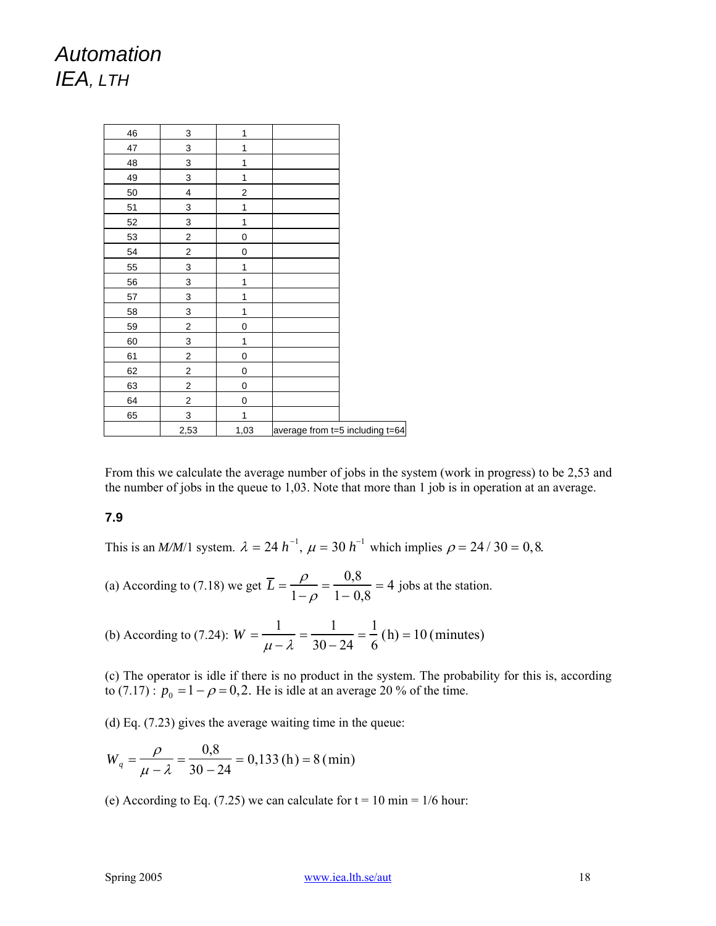| 46 | 3                       | 1                |                                 |
|----|-------------------------|------------------|---------------------------------|
| 47 | 3                       | 1                |                                 |
| 48 | 3                       | 1                |                                 |
| 49 | 3                       | 1                |                                 |
| 50 | 4                       | $\boldsymbol{2}$ |                                 |
| 51 | 3                       | 1                |                                 |
| 52 | 3                       | 1                |                                 |
| 53 | $\overline{\mathbf{c}}$ | 0                |                                 |
| 54 | $\boldsymbol{2}$        | 0                |                                 |
| 55 | 3                       | 1                |                                 |
| 56 | $\overline{3}$          | 1                |                                 |
| 57 | 3                       | 1                |                                 |
| 58 | 3                       | 1                |                                 |
| 59 | $\overline{\mathbf{c}}$ | 0                |                                 |
| 60 | 3                       | 1                |                                 |
| 61 | $\boldsymbol{2}$        | 0                |                                 |
| 62 | $\overline{\mathbf{c}}$ | 0                |                                 |
| 63 | $\overline{c}$          | 0                |                                 |
| 64 | $\mathbf 2$             | 0                |                                 |
| 65 | $\overline{3}$          | 1                |                                 |
|    | 2,53                    | 1,03             | average from t=5 including t=64 |

From this we calculate the average number of jobs in the system (work in progress) to be 2,53 and the number of jobs in the queue to 1,03. Note that more than 1 job is in operation at an average.

#### **7.9**

This is an *M/M*/1 system.  $\lambda = 24 h^{-1}$ ,  $\mu = 30 h^{-1}$  which implies  $\rho = 24 / 30 = 0, 8$ .

(a) According to (7.18) we get  $\overline{L} = \frac{\rho}{L}$  $1-\rho$  $=\frac{0.8}{1-0.8}$  = 4 jobs at the station.

(b) According to (7.24):  $W = \frac{1}{\sqrt{1 - \frac{1}{\epsilon^2}}}$  $\mu - \lambda$  $=\frac{1}{30-24}=\frac{1}{6}$  $(h) = 10$  (minutes)

(c) The operator is idle if there is no product in the system. The probability for this is, according to (7.17) :  $p_0 = 1 - \rho = 0, 2$ . He is idle at an average 20 % of the time.

(d) Eq. (7.23) gives the average waiting time in the queue:

$$
W_q = \frac{\rho}{\mu - \lambda} = \frac{0.8}{30 - 24} = 0,133 \text{ (h)} = 8 \text{ (min)}
$$

(e) According to Eq. (7.25) we can calculate for  $t = 10$  min = 1/6 hour: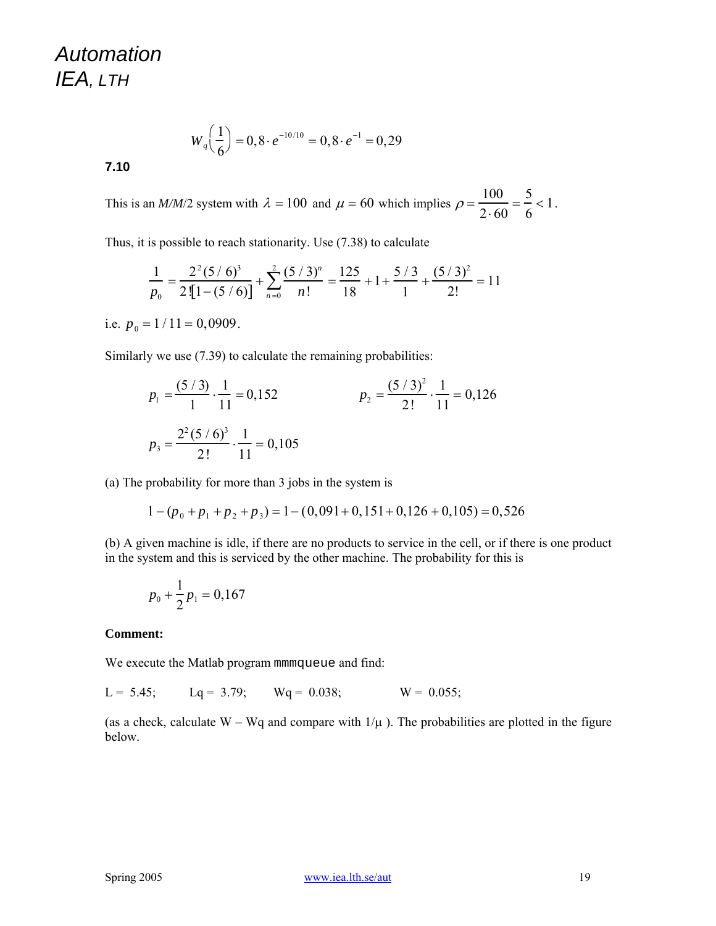$$
W_q\left(\frac{1}{6}\right) = 0,8 \cdot e^{-10/10} = 0,8 \cdot e^{-1} = 0,29
$$

**7.10** 

This is an *M/M/2* system with  $\lambda = 100$  and  $\mu = 60$  which implies  $\rho = \frac{100}{2 \cdot 60} = \frac{5}{6}$  $\leq 1$ .

Thus, it is possible to reach stationarity. Use (7.38) to calculate

$$
\frac{1}{p_0} = \frac{2^2 (5/6)^3}{2 \left[ 1 - (5/6) \right]} + \sum_{n=0}^{2} \frac{(5/3)^n}{n!} = \frac{125}{18} + 1 + \frac{5/3}{1} + \frac{(5/3)^2}{2!} = 11
$$

i.e.  $p_0 = 1/11 = 0,0909$ .

Similarly we use (7.39) to calculate the remaining probabilities:

$$
p_1 = \frac{(5/3)}{1} \cdot \frac{1}{11} = 0,152
$$
  
\n
$$
p_2 = \frac{(5/3)^2}{2!} \cdot \frac{1}{11} = 0,126
$$
  
\n
$$
p_3 = \frac{2^2 (5/6)^3}{2!} \cdot \frac{1}{11} = 0,105
$$

(a) The probability for more than 3 jobs in the system is

$$
1 - (p_0 + p_1 + p_2 + p_3) = 1 - (0,091 + 0,151 + 0,126 + 0,105) = 0,526
$$

(b) A given machine is idle, if there are no products to service in the cell, or if there is one product in the system and this is serviced by the other machine. The probability for this is

$$
p_0 + \frac{1}{2}p_1 = 0{,}167
$$

#### **Comment:**

We execute the Matlab program mmmqueue and find:

L = 5.45; Lq = 3.79; Wq = 0.038; W = 0.055;

(as a check, calculate W – Wq and compare with  $1/\mu$ ). The probabilities are plotted in the figure below.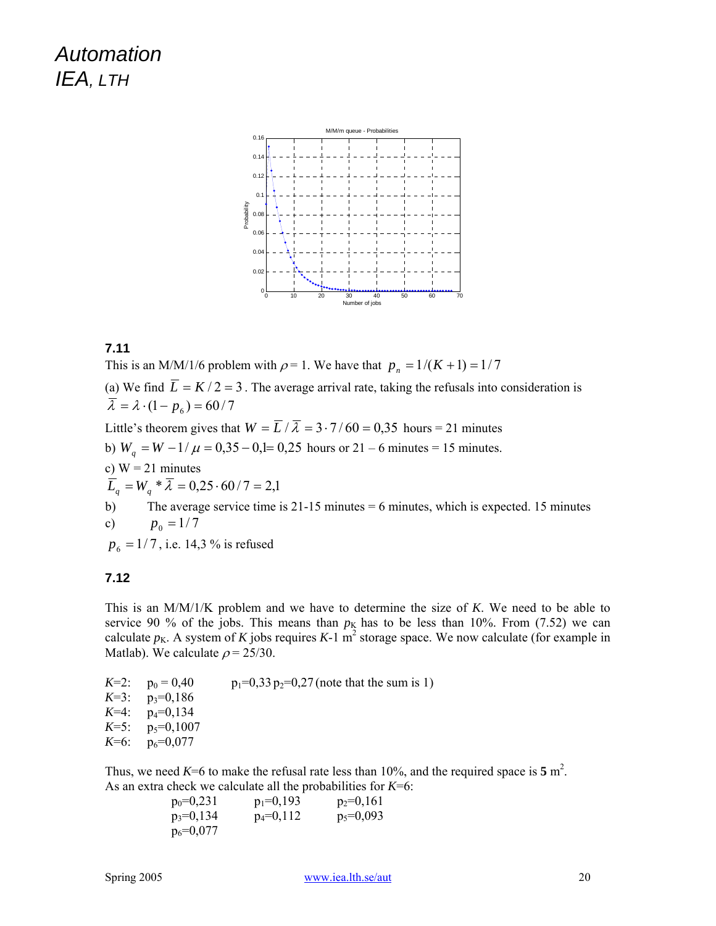

### **7.11**

This is an M/M/1/6 problem with  $\rho = 1$ . We have that  $p_n = 1/(K + 1) = 1/7$ 

(a) We find  $\overline{L} = K/2 = 3$ . The average arrival rate, taking the refusals into consideration is  $\overline{\lambda} = \lambda \cdot (1 - p_6) = 60/7$ 

Little's theorem gives that  $W = \overline{L}/\overline{\lambda} = 3 \cdot 7/60 = 0.35$  hours = 21 minutes b)  $W_q = W - 1/\mu = 0,35 - 0,1 = 0,25$  hours or 21 – 6 minutes = 15 minutes. c)  $W = 21$  minutes  $\overline{L}_q = W_q * \overline{\lambda} = 0.25 \cdot 60 / 7 = 2,1$ 

b) The average service time is 21-15 minutes = 6 minutes, which is expected. 15 minutes c)  $p_0 = 1/7$ 

 $p_6 = 1/7$ , i.e. 14,3 % is refused

#### **7.12**

This is an M/M/1/K problem and we have to determine the size of *K*. We need to be able to service 90 % of the jobs. This means than  $p<sub>K</sub>$  has to be less than 10%. From (7.52) we can calculate  $p_K$ . A system of *K* jobs requires *K*-1 m<sup>2</sup> storage space. We now calculate (for example in Matlab). We calculate  $\rho = 25/30$ .

*K*=2:  $p_0 = 0.40$   $p_1 = 0.33 p_2 = 0.27$  (note that the sum is 1)  $K=3$ :  $p_3=0,186$  $K=4$ :  $p_4=0,134$  $K=5$ :  $p_5=0,1007$  $K=6$ :  $p_6=0.077$ 

Thus, we need  $K=6$  to make the refusal rate less than 10%, and the required space is  $5 \text{ m}^2$ . As an extra check we calculate all the probabilities for *K*=6:

| $p_0=0.231$   | $p_1=0,193$    | $p_2=0,161$   |
|---------------|----------------|---------------|
| $p_3=0,134$   | $p_4 = 0, 112$ | $p_5 = 0.093$ |
| $p_6 = 0.077$ |                |               |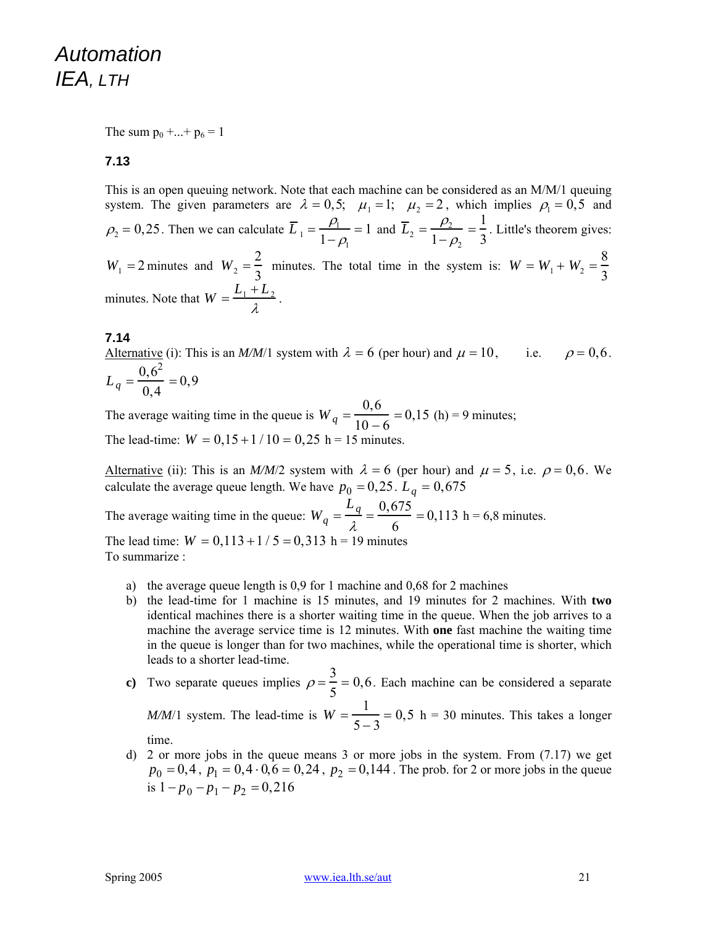The sum  $p_0 + ... + p_6 = 1$ 

### **7.13**

This is an open queuing network. Note that each machine can be considered as an M/M/1 queuing system. The given parameters are  $\lambda = 0.5$ ;  $\mu_1 = 1$ ;  $\mu_2 = 2$ , which implies  $\rho_1 = 0.5$  and  $\rho_2 = 0.25$ . Then we can calculate  $\overline{L}_1 = \frac{\rho_1}{1}$  $1-\rho_1$  $= 1$  and  $\overline{L}_2 = \frac{\rho_2}{1}$  $1-\rho_2$  $=\frac{1}{2}$ 3 . Little's theorem gives:  $W_1 = 2$  minutes and  $W_2 = \frac{2}{3}$  minutes. The total time in the system is:  $W = W_1 + W_2 = \frac{8}{3}$ minutes. Note that  $W = \frac{L_1 + L_2}{\lambda}$ .

#### **7.14**

Alternative (i): This is an *M/M*/1 system with  $\lambda = 6$  (per hour) and  $\mu = 10$ , i.e.  $\rho = 0.6$ .  $L_q = \frac{0.6^2}{0.4} = 0.9$ 

The average waiting time in the queue is  $W_q = \frac{0.6}{10-6} = 0.15$  (h) = 9 minutes; The lead-time:  $W = 0.15 + 1/10 = 0.25$  h = 15 minutes.

Alternative (ii): This is an  $M/M/2$  system with  $\lambda = 6$  (per hour) and  $\mu = 5$ , i.e.  $\rho = 0.6$ . We calculate the average queue length. We have  $p_0 = 0.25$ .  $L_q = 0.675$ 

The average waiting time in the queue:  $W_q = \frac{L_q}{\lambda} = \frac{0.675}{6} = 0.113$  h = 6,8 minutes. The lead time:  $W = 0,113 + 1/5 = 0,313$  h = 19 minutes To summarize :

- a) the average queue length is 0,9 for 1 machine and 0,68 for 2 machines
- b) the lead-time for 1 machine is 15 minutes, and 19 minutes for 2 machines. With **two** identical machines there is a shorter waiting time in the queue. When the job arrives to a machine the average service time is 12 minutes. With **one** fast machine the waiting time in the queue is longer than for two machines, while the operational time is shorter, which leads to a shorter lead-time.
- **c**) Two separate queues implies  $\rho = \frac{3}{5} = 0, 6$ . Each machine can be considered a separate

*M/M*/1 system. The lead-time is  $W = \frac{1}{5-3} = 0.5$  h = 30 minutes. This takes a longer

time.

d) 2 or more jobs in the queue means 3 or more jobs in the system. From (7.17) we get  $p_0 = 0.4$ ,  $p_1 = 0.4 \cdot 0.6 = 0.24$ ,  $p_2 = 0.144$ . The prob. for 2 or more jobs in the queue is  $1 - p_0 - p_1 - p_2 = 0,216$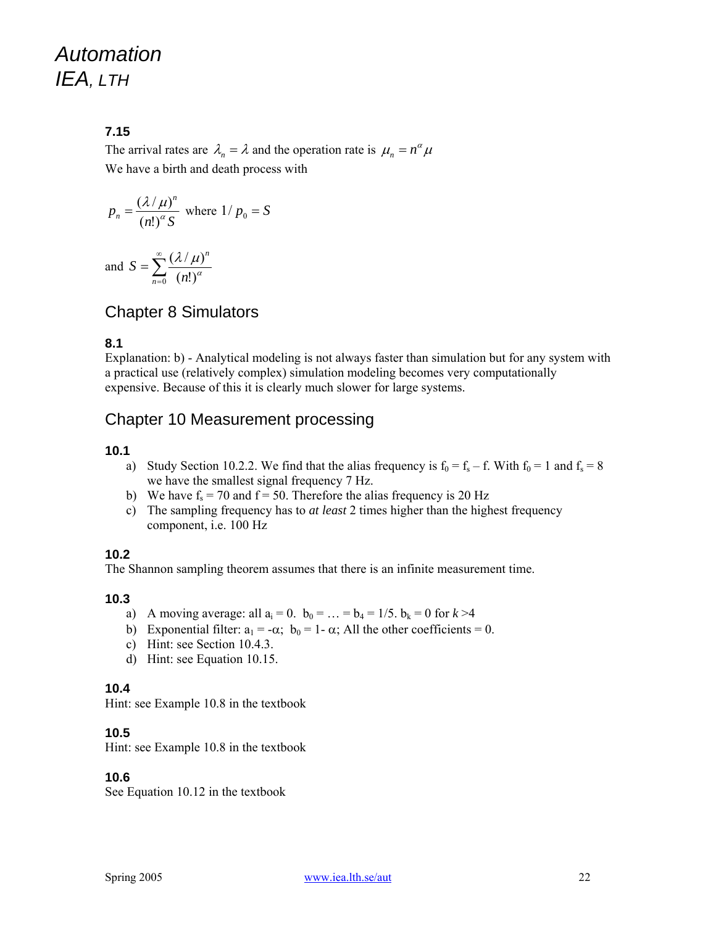### **7.15**

The arrival rates are  $\lambda_n = \lambda$  and the operation rate is  $\mu_n = n^\alpha \mu$ We have a birth and death process with

$$
p_n = \frac{(\lambda / \mu)^n}{(n!)^{\alpha} S}
$$
 where  $1/p_0 = S$ 

and  $S = \sum_{n=1}^{\infty}$ = =  $\frac{1}{0}$  (n!)  $(\lambda / \mu)$ *n n*  $S = \sum_{n=0}^{\infty} \frac{(\lambda / \mu)}{(n!)^{\alpha}}$ 

## Chapter 8 Simulators

### **8.1**

Explanation: b) - Analytical modeling is not always faster than simulation but for any system with a practical use (relatively complex) simulation modeling becomes very computationally expensive. Because of this it is clearly much slower for large systems.

## Chapter 10 Measurement processing

### **10.1**

- a) Study Section 10.2.2. We find that the alias frequency is  $f_0 = f_s f$ . With  $f_0 = 1$  and  $f_s = 8$ we have the smallest signal frequency 7 Hz.
- b) We have  $f_s = 70$  and  $f = 50$ . Therefore the alias frequency is 20 Hz
- c) The sampling frequency has to *at least* 2 times higher than the highest frequency component, i.e. 100 Hz

### **10.2**

The Shannon sampling theorem assumes that there is an infinite measurement time.

### **10.3**

- a) A moving average: all  $a_i = 0$ .  $b_0 = ... = b_4 = 1/5$ .  $b_k = 0$  for  $k > 4$
- b) Exponential filter:  $a_1 = -\alpha$ ;  $b_0 = 1 \alpha$ ; All the other coefficients = 0.
- c) Hint: see Section 10.4.3.
- d) Hint: see Equation 10.15.

### **10.4**

Hint: see Example 10.8 in the textbook

### **10.5**

Hint: see Example 10.8 in the textbook

### **10.6**

See Equation 10.12 in the textbook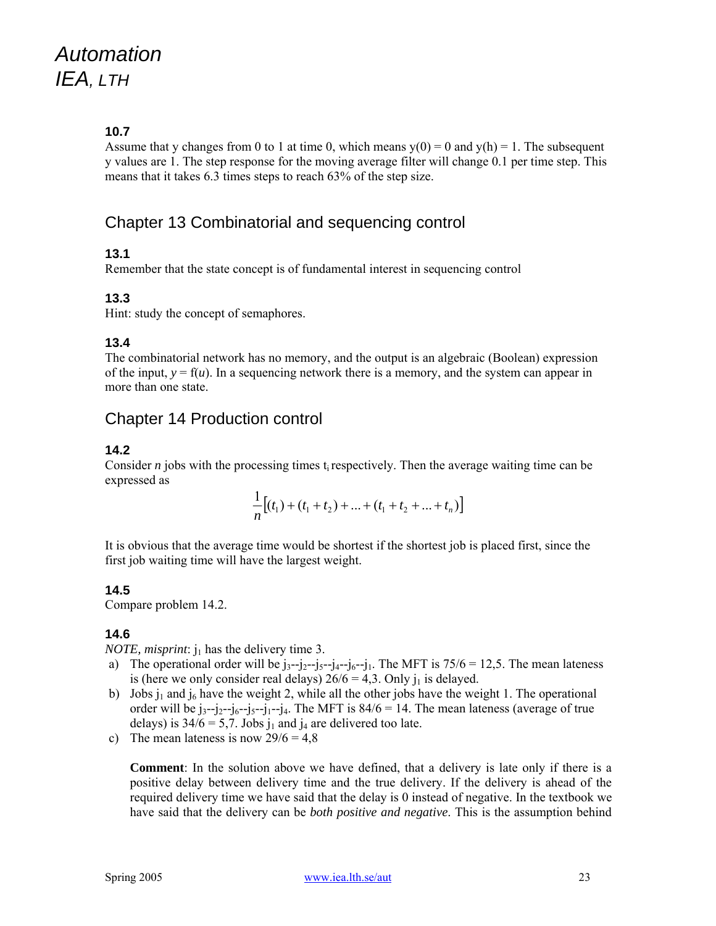### **10.7**

Assume that y changes from 0 to 1 at time 0, which means  $y(0) = 0$  and  $y(h) = 1$ . The subsequent y values are 1. The step response for the moving average filter will change 0.1 per time step. This means that it takes 6.3 times steps to reach 63% of the step size.

## Chapter 13 Combinatorial and sequencing control

### **13.1**

Remember that the state concept is of fundamental interest in sequencing control

### **13.3**

Hint: study the concept of semaphores.

### **13.4**

The combinatorial network has no memory, and the output is an algebraic (Boolean) expression of the input,  $y = f(u)$ . In a sequencing network there is a memory, and the system can appear in more than one state.

## Chapter 14 Production control

### **14.2**

Consider *n* jobs with the processing times t<sub>i</sub> respectively. Then the average waiting time can be expressed as

$$
\frac{1}{n}[(t_1) + (t_1 + t_2) + \dots + (t_1 + t_2 + \dots + t_n)]
$$

It is obvious that the average time would be shortest if the shortest job is placed first, since the first job waiting time will have the largest weight.

### **14.5**

Compare problem 14.2.

### **14.6**

*NOTE, misprint*:  $j_1$  has the delivery time 3.

- a) The operational order will be  $j_3-j_2-j_5-j_4-j_6-j_1$ . The MFT is 75/6 = 12,5. The mean lateness is (here we only consider real delays)  $26/6 = 4.3$ . Only j<sub>1</sub> is delayed.
- b) Jobs  $i_1$  and  $i_6$  have the weight 2, while all the other jobs have the weight 1. The operational order will be  $j_3-j_2-j_6-j_5-j_1-j_4$ . The MFT is  $84/6 = 14$ . The mean lateness (average of true delays) is  $34/6 = 5,7$ . Jobs j<sub>1</sub> and j<sub>4</sub> are delivered too late.
- c) The mean lateness is now  $29/6 = 4.8$

**Comment**: In the solution above we have defined, that a delivery is late only if there is a positive delay between delivery time and the true delivery. If the delivery is ahead of the required delivery time we have said that the delay is 0 instead of negative. In the textbook we have said that the delivery can be *both positive and negative*. This is the assumption behind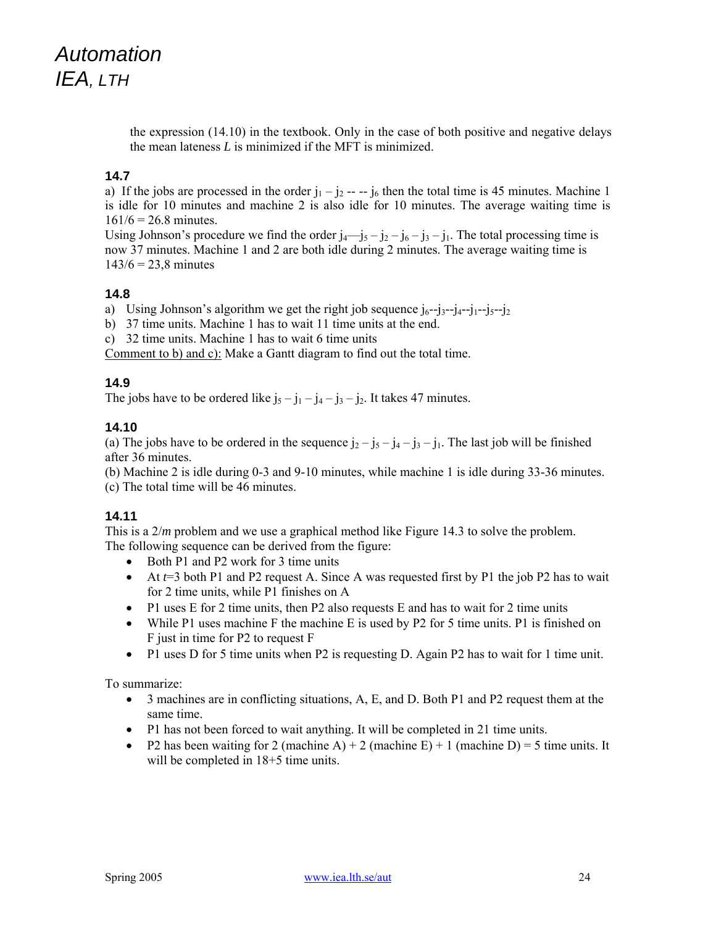the expression (14.10) in the textbook. Only in the case of both positive and negative delays the mean lateness *L* is minimized if the MFT is minimized.

### **14.7**

a) If the jobs are processed in the order  $j_1 - j_2 - -j_6$  then the total time is 45 minutes. Machine 1 is idle for 10 minutes and machine 2 is also idle for 10 minutes. The average waiting time is  $161/6 = 26.8$  minutes.

Using Johnson's procedure we find the order  $i_4$ — $j_5$  –  $j_2$  –  $j_6$  –  $j_3$  –  $j_1$ . The total processing time is now 37 minutes. Machine 1 and 2 are both idle during 2 minutes. The average waiting time is  $143/6 = 23.8$  minutes

### **14.8**

a) Using Johnson's algorithm we get the right job sequence  $j_6-j_3-j_4-j_1-j_5-j_2$ 

- b) 37 time units. Machine 1 has to wait 11 time units at the end.
- c) 32 time units. Machine 1 has to wait 6 time units

Comment to b) and c): Make a Gantt diagram to find out the total time.

### **14.9**

The jobs have to be ordered like  $j_5 - j_1 - j_4 - j_3 - j_2$ . It takes 47 minutes.

### **14.10**

(a) The jobs have to be ordered in the sequence  $j_2 - j_5 - j_4 - j_3 - j_1$ . The last job will be finished after 36 minutes.

(b) Machine 2 is idle during 0-3 and 9-10 minutes, while machine 1 is idle during 33-36 minutes. (c) The total time will be 46 minutes.

### **14.11**

This is a 2/*m* problem and we use a graphical method like Figure 14.3 to solve the problem. The following sequence can be derived from the figure:

- Both P1 and P2 work for 3 time units
- At  $t=3$  both P1 and P2 request A. Since A was requested first by P1 the job P2 has to wait for 2 time units, while P1 finishes on A
- P1 uses E for 2 time units, then P2 also requests E and has to wait for 2 time units
- While P1 uses machine F the machine E is used by P2 for 5 time units. P1 is finished on F just in time for P2 to request F
- P1 uses D for 5 time units when P2 is requesting D. Again P2 has to wait for 1 time unit.

To summarize:

- 3 machines are in conflicting situations, A, E, and D. Both P1 and P2 request them at the same time.
- P1 has not been forced to wait anything. It will be completed in 21 time units.
- P2 has been waiting for 2 (machine A) + 2 (machine E) + 1 (machine D) = 5 time units. It will be completed in  $18+5$  time units.